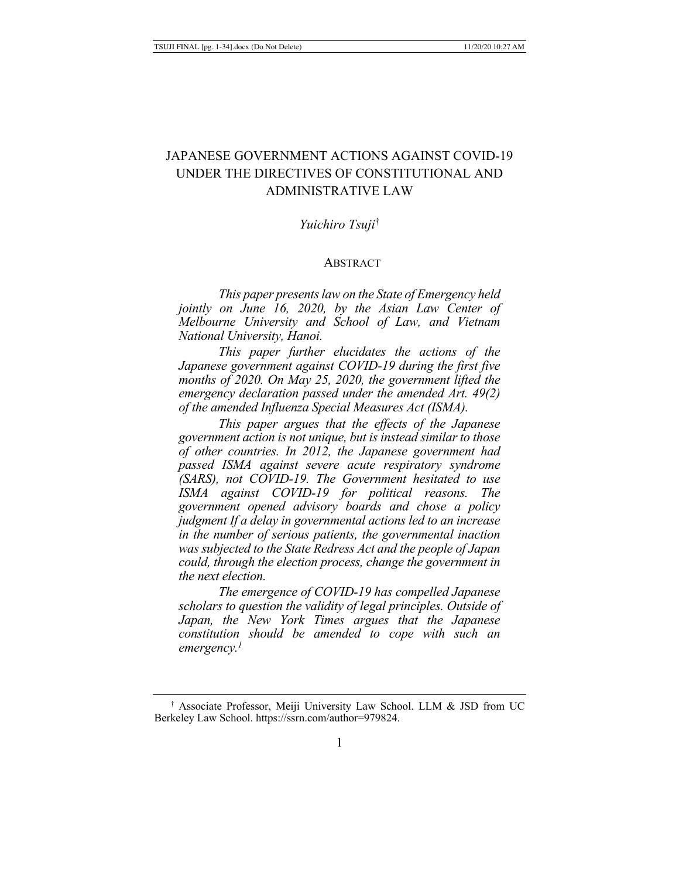# JAPANESE GOVERNMENT ACTIONS AGAINST COVID-19 UNDER THE DIRECTIVES OF CONSTITUTIONAL AND ADMINISTRATIVE LAW

# *Yuichiro Tsuji*†

#### **ABSTRACT**

*This paper presents law on the State of Emergency held jointly on June 16, 2020, by the Asian Law Center of Melbourne University and School of Law, and Vietnam National University, Hanoi.* 

*This paper further elucidates the actions of the Japanese government against COVID-19 during the first five months of 2020. On May 25, 2020, the government lifted the emergency declaration passed under the amended Art. 49(2) of the amended Influenza Special Measures Act (ISMA).* 

*This paper argues that the effects of the Japanese government action is not unique, but is instead similar to those of other countries. In 2012, the Japanese government had passed ISMA against severe acute respiratory syndrome (SARS), not COVID-19. The Government hesitated to use ISMA against COVID-19 for political reasons. The government opened advisory boards and chose a policy judgment If a delay in governmental actions led to an increase in the number of serious patients, the governmental inaction was subjected to the State Redress Act and the people of Japan could, through the election process, change the government in the next election.*

*The emergence of COVID-19 has compelled Japanese scholars to question the validity of legal principles. Outside of Japan, the New York Times argues that the Japanese constitution should be amended to cope with such an emergency.1*

<sup>†</sup> Associate Professor, Meiji University Law School. LLM & JSD from UC Berkeley Law School. https://ssrn.com/author=979824.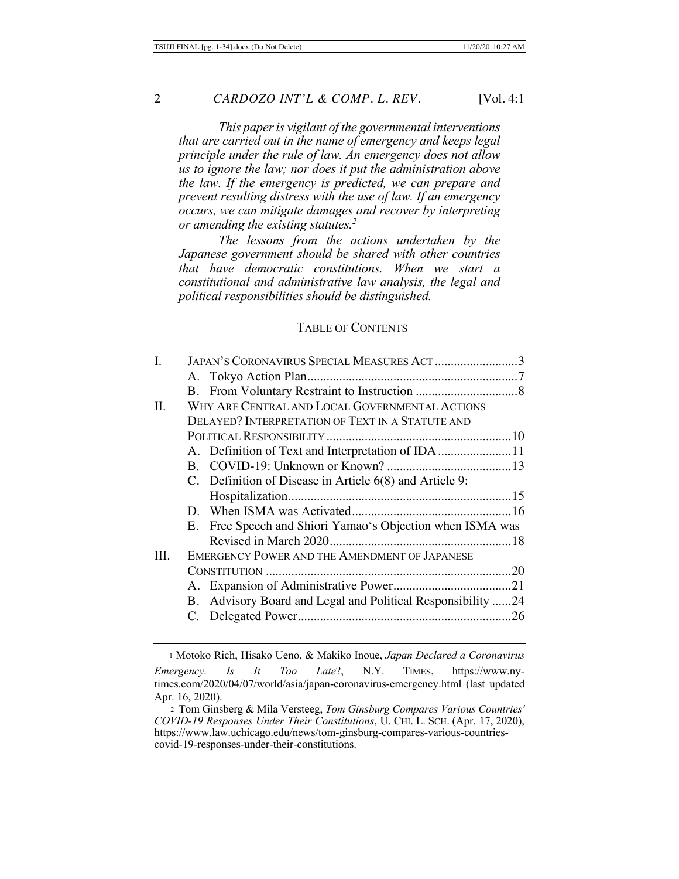*This paper is vigilant of the governmental interventions that are carried out in the name of emergency and keeps legal principle under the rule of law. An emergency does not allow us to ignore the law; nor does it put the administration above the law. If the emergency is predicted, we can prepare and prevent resulting distress with the use of law. If an emergency occurs, we can mitigate damages and recover by interpreting or amending the existing statutes.2*

*The lessons from the actions undertaken by the Japanese government should be shared with other countries that have democratic constitutions. When we start a constitutional and administrative law analysis, the legal and political responsibilities should be distinguished.* 

#### TABLE OF CONTENTS

| I.   | JAPAN'S CORONAVIRUS SPECIAL MEASURES ACT 3                  |  |  |  |
|------|-------------------------------------------------------------|--|--|--|
|      |                                                             |  |  |  |
|      |                                                             |  |  |  |
| П.   | WHY ARE CENTRAL AND LOCAL GOVERNMENTAL ACTIONS              |  |  |  |
|      | <b>DELAYED? INTERPRETATION OF TEXT IN A STATUTE AND</b>     |  |  |  |
|      |                                                             |  |  |  |
|      | A. Definition of Text and Interpretation of IDA 11          |  |  |  |
|      |                                                             |  |  |  |
|      | C. Definition of Disease in Article 6(8) and Article 9:     |  |  |  |
|      |                                                             |  |  |  |
|      |                                                             |  |  |  |
|      | E. Free Speech and Shiori Yamao's Objection when ISMA was   |  |  |  |
|      |                                                             |  |  |  |
| III. | <b>EMERGENCY POWER AND THE AMENDMENT OF JAPANESE</b>        |  |  |  |
|      |                                                             |  |  |  |
|      |                                                             |  |  |  |
|      | B. Advisory Board and Legal and Political Responsibility 24 |  |  |  |
|      |                                                             |  |  |  |
|      |                                                             |  |  |  |

<sup>1</sup> Motoko Rich, Hisako Ueno, & Makiko Inoue, *Japan Declared a Coronavirus Emergency. Is It Too Late*?, N.Y. TIMES, https://www.nytimes.com/2020/04/07/world/asia/japan-coronavirus-emergency.html (last updated Apr. 16, 2020).

<sup>2</sup> Tom Ginsberg & Mila Versteeg, *Tom Ginsburg Compares Various Countries' COVID-19 Responses Under Their Constitutions*, U. CHI. L. SCH. (Apr. 17, 2020), https://www.law.uchicago.edu/news/tom-ginsburg-compares-various-countriescovid-19-responses-under-their-constitutions.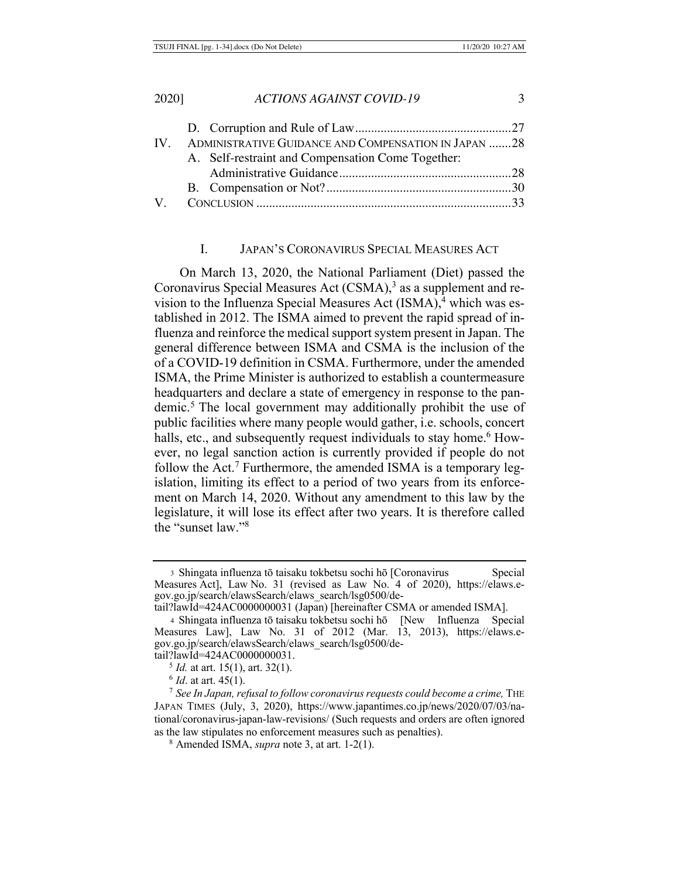|  | IV. ADMINISTRATIVE GUIDANCE AND COMPENSATION IN JAPAN 28 |  |
|--|----------------------------------------------------------|--|
|  | A. Self-restraint and Compensation Come Together:        |  |
|  |                                                          |  |
|  |                                                          |  |
|  |                                                          |  |
|  |                                                          |  |

#### I. JAPAN'S CORONAVIRUS SPECIAL MEASURES ACT

On March 13, 2020, the National Parliament (Diet) passed the Coronavirus Special Measures Act (CSMA),<sup>3</sup> as a supplement and revision to the Influenza Special Measures Act (ISMA),<sup>4</sup> which was established in 2012. The ISMA aimed to prevent the rapid spread of influenza and reinforce the medical support system present in Japan. The general difference between ISMA and CSMA is the inclusion of the of a COVID-19 definition in CSMA. Furthermore, under the amended ISMA, the Prime Minister is authorized to establish a countermeasure headquarters and declare a state of emergency in response to the pandemic.5 The local government may additionally prohibit the use of public facilities where many people would gather, i.e. schools, concert halls, etc., and subsequently request individuals to stay home.<sup>6</sup> However, no legal sanction action is currently provided if people do not follow the Act.<sup>7</sup> Furthermore, the amended ISMA is a temporary legislation, limiting its effect to a period of two years from its enforcement on March 14, 2020. Without any amendment to this law by the legislature, it will lose its effect after two years. It is therefore called the "sunset law."8

<sup>3</sup> Shingata influenza tō taisaku tokbetsu sochi hō [Coronavirus Special Measures Act], Law No. 31 (revised as Law No. 4 of 2020), https://elaws.egov.go.jp/search/elawsSearch/elaws\_search/lsg0500/detail?lawId=424AC0000000031 (Japan) [hereinafter CSMA or amended ISMA].

<sup>4</sup> Shingata influenza tō taisaku tokbetsu sochi hō [New Influenza Special Measures Law], Law No. 31 of 2012 (Mar. 13, 2013), https://elaws.egov.go.jp/search/elawsSearch/elaws\_search/lsg0500/detail?lawId=424AC0000000031.

<sup>5</sup> *Id.* at art. 15(1), art. 32(1).

<sup>6</sup> *Id*. at art. 45(1).

<sup>&</sup>lt;sup>7</sup> See In Japan, refusal to follow coronavirus requests could become a crime, THE JAPAN TIMES (July, 3, 2020), https://www.japantimes.co.jp/news/2020/07/03/national/coronavirus-japan-law-revisions/ (Such requests and orders are often ignored as the law stipulates no enforcement measures such as penalties).

<sup>8</sup> Amended ISMA, *supra* note 3, at art. 1-2(1).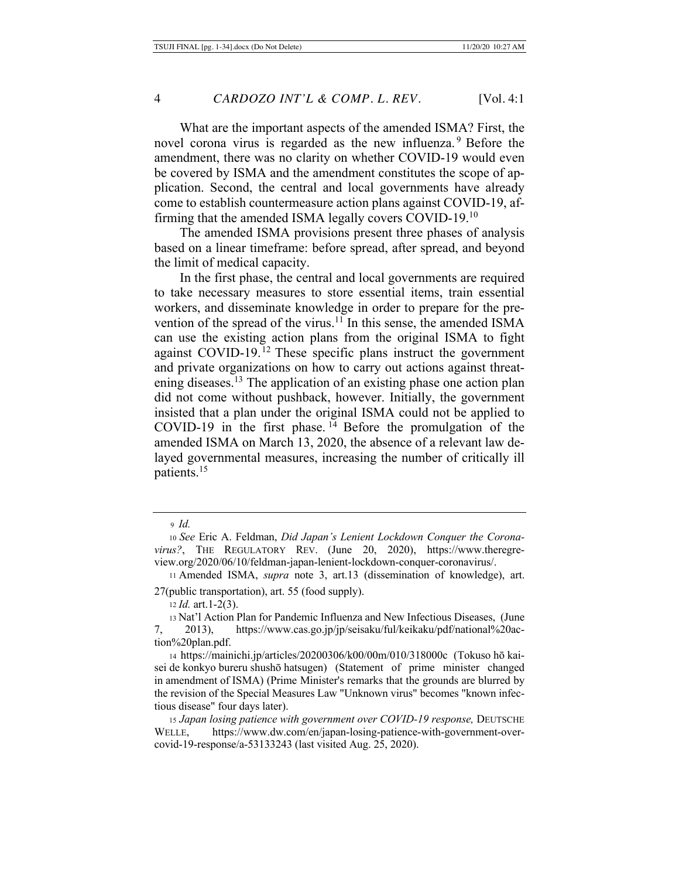What are the important aspects of the amended ISMA? First, the novel corona virus is regarded as the new influenza.<sup>9</sup> Before the amendment, there was no clarity on whether COVID-19 would even be covered by ISMA and the amendment constitutes the scope of application. Second, the central and local governments have already come to establish countermeasure action plans against COVID-19, affirming that the amended ISMA legally covers COVID-19.10

The amended ISMA provisions present three phases of analysis based on a linear timeframe: before spread, after spread, and beyond the limit of medical capacity.

In the first phase, the central and local governments are required to take necessary measures to store essential items, train essential workers, and disseminate knowledge in order to prepare for the prevention of the spread of the virus.<sup>11</sup> In this sense, the amended ISMA can use the existing action plans from the original ISMA to fight against COVID-19.12 These specific plans instruct the government and private organizations on how to carry out actions against threatening diseases.<sup>13</sup> The application of an existing phase one action plan did not come without pushback, however. Initially, the government insisted that a plan under the original ISMA could not be applied to COVID-19 in the first phase. 14 Before the promulgation of the amended ISMA on March 13, 2020, the absence of a relevant law delayed governmental measures, increasing the number of critically ill patients.15

<sup>12</sup> *Id.* art.1-2(3).

<sup>9</sup> *Id.* 

<sup>10</sup> *See* Eric A. Feldman, *Did Japan's Lenient Lockdown Conquer the Coronavirus?*, THE REGULATORY REV. (June 20, 2020), https://www.theregreview.org/2020/06/10/feldman-japan-lenient-lockdown-conquer-coronavirus/.

<sup>11</sup> Amended ISMA, *supra* note 3, art.13 (dissemination of knowledge), art. 27(public transportation), art. 55 (food supply).

<sup>13</sup> Nat'l Action Plan for Pandemic Influenza and New Infectious Diseases, (June 7, 2013), https://www.cas.go.jp/jp/seisaku/ful/keikaku/pdf/national%20action%20plan.pdf.

<sup>14</sup> https://mainichi.jp/articles/20200306/k00/00m/010/318000c (Tokuso hō kaisei de konkyo bureru shushō hatsugen) (Statement of prime minister changed in amendment of ISMA) (Prime Minister's remarks that the grounds are blurred by the revision of the Special Measures Law "Unknown virus" becomes "known infectious disease" four days later).

<sup>15</sup> *Japan losing patience with government over COVID-19 response,* DEUTSCHE WELLE, https://www.dw.com/en/japan-losing-patience-with-government-overcovid-19-response/a-53133243 (last visited Aug. 25, 2020).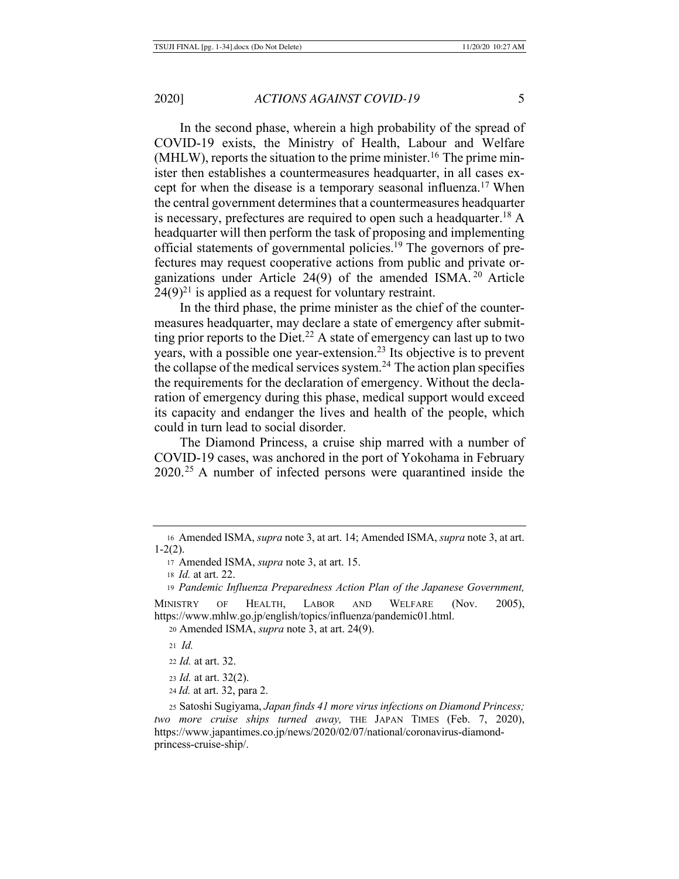In the second phase, wherein a high probability of the spread of COVID-19 exists, the Ministry of Health, Labour and Welfare (MHLW), reports the situation to the prime minister.<sup>16</sup> The prime minister then establishes a countermeasures headquarter, in all cases except for when the disease is a temporary seasonal influenza.17 When the central government determines that a countermeasures headquarter is necessary, prefectures are required to open such a headquarter.18 A headquarter will then perform the task of proposing and implementing official statements of governmental policies.19 The governors of prefectures may request cooperative actions from public and private organizations under Article 24(9) of the amended ISMA. 20 Article  $24(9)^{21}$  is applied as a request for voluntary restraint.

In the third phase, the prime minister as the chief of the countermeasures headquarter, may declare a state of emergency after submitting prior reports to the Diet.<sup>22</sup> A state of emergency can last up to two years, with a possible one year-extension.23 Its objective is to prevent the collapse of the medical services system.<sup>24</sup> The action plan specifies the requirements for the declaration of emergency. Without the declaration of emergency during this phase, medical support would exceed its capacity and endanger the lives and health of the people, which could in turn lead to social disorder.

The Diamond Princess, a cruise ship marred with a number of COVID-19 cases, was anchored in the port of Yokohama in February 2020.25 A number of infected persons were quarantined inside the

<sup>19</sup> *Pandemic Influenza Preparedness Action Plan of the Japanese Government,* 

MINISTRY OF HEALTH, LABOR AND WELFARE (Nov. 2005), https://www.mhlw.go.jp/english/topics/influenza/pandemic01.html.

<sup>20</sup> Amended ISMA, *supra* note 3, at art. 24(9).

<sup>21</sup> *Id.*

- <sup>22</sup> *Id.* at art. 32.
- <sup>23</sup> *Id.* at art. 32(2).
- <sup>24</sup> *Id.* at art. 32, para 2.

<sup>25</sup> Satoshi Sugiyama, *Japan finds 41 more virus infections on Diamond Princess; two more cruise ships turned away,* THE JAPAN TIMES (Feb. 7, 2020), https://www.japantimes.co.jp/news/2020/02/07/national/coronavirus-diamondprincess-cruise-ship/.

<sup>16</sup> Amended ISMA, *supra* note 3, at art. 14; Amended ISMA, *supra* note 3, at art. 1-2(2).

<sup>17</sup> Amended ISMA, *supra* note 3, at art. 15.

<sup>18</sup> *Id.* at art. 22.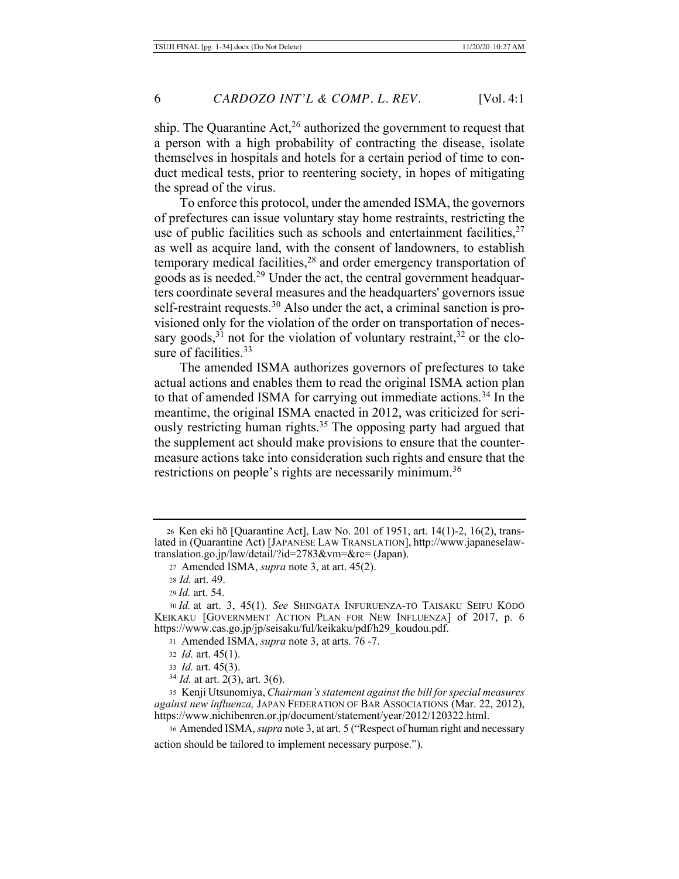ship. The Quarantine Act,<sup>26</sup> authorized the government to request that a person with a high probability of contracting the disease, isolate themselves in hospitals and hotels for a certain period of time to conduct medical tests, prior to reentering society, in hopes of mitigating the spread of the virus.

To enforce this protocol, under the amended ISMA, the governors of prefectures can issue voluntary stay home restraints, restricting the use of public facilities such as schools and entertainment facilities,  $27$ as well as acquire land, with the consent of landowners, to establish temporary medical facilities, $28$  and order emergency transportation of goods as is needed.29 Under the act, the central government headquarters coordinate several measures and the headquarters' governors issue self-restraint requests.<sup>30</sup> Also under the act, a criminal sanction is provisioned only for the violation of the order on transportation of necessary goods,<sup>31</sup> not for the violation of voluntary restraint,<sup>32</sup> or the closure of facilities.<sup>33</sup>

The amended ISMA authorizes governors of prefectures to take actual actions and enables them to read the original ISMA action plan to that of amended ISMA for carrying out immediate actions.<sup>34</sup> In the meantime, the original ISMA enacted in 2012, was criticized for seriously restricting human rights.<sup>35</sup> The opposing party had argued that the supplement act should make provisions to ensure that the countermeasure actions take into consideration such rights and ensure that the restrictions on people's rights are necessarily minimum.<sup>36</sup>

- 31 Amended ISMA, *supra* note 3, at arts. 76 -7.
- <sup>32</sup> *Id.* art. 45(1).
- <sup>33</sup> *Id.* art. 45(3).
- <sup>34</sup> *Id.* at art. 2(3), art. 3(6).

35 Kenji Utsunomiya, *Chairman's statement against the bill for special measures against new influenza,* JAPAN FEDERATION OF BAR ASSOCIATIONS (Mar. 22, 2012), https://www.nichibenren.or.jp/document/statement/year/2012/120322.html.

<sup>36</sup> Amended ISMA, *supra* note 3, at art. 5 ("Respect of human right and necessary action should be tailored to implement necessary purpose.").

<sup>26</sup> Ken eki hō [Quarantine Act], Law No. 201 of 1951, art. 14(1)-2, 16(2), translated in (Quarantine Act) [JAPANESE LAW TRANSLATION], http://www.japaneselawtranslation.go.jp/law/detail/?id=2783&vm=&re= (Japan).

<sup>27</sup> Amended ISMA, *supra* note 3, at art. 45(2).

<sup>28</sup> *Id.* art. 49.

<sup>29</sup> *Id.* art. 54.

<sup>30</sup> *Id.* at art. 3, 45(1). *See* SHINGATA INFURUENZA-TŌ TAISAKU SEIFU KŌDŌ KEIKAKU [GOVERNMENT ACTION PLAN FOR NEW INFLUENZA] of 2017, p. 6 https://www.cas.go.jp/jp/seisaku/ful/keikaku/pdf/h29\_koudou.pdf.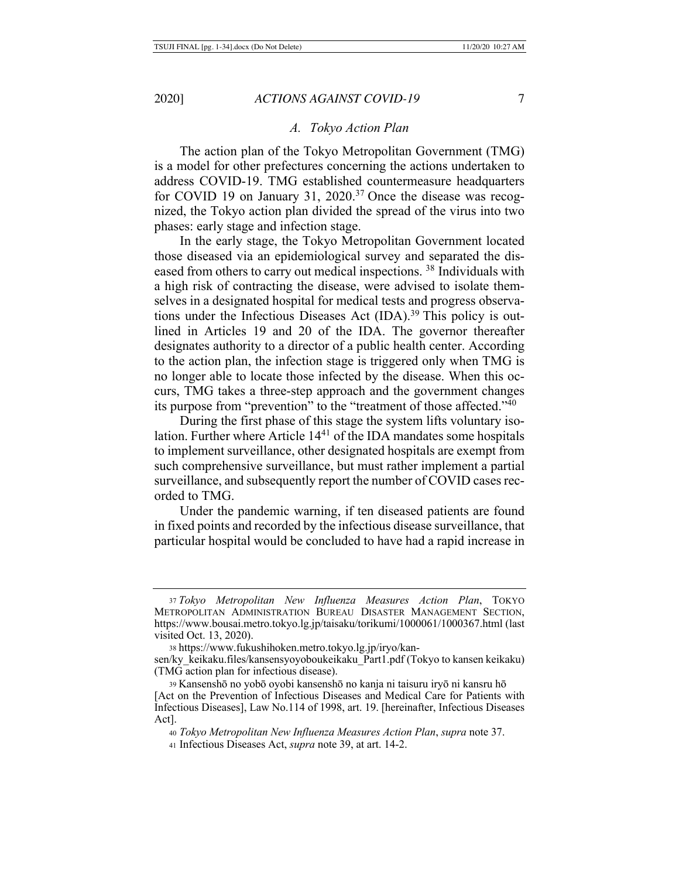#### *A. Tokyo Action Plan*

The action plan of the Tokyo Metropolitan Government (TMG) is a model for other prefectures concerning the actions undertaken to address COVID-19. TMG established countermeasure headquarters for COVID 19 on January 31, 2020.<sup>37</sup> Once the disease was recognized, the Tokyo action plan divided the spread of the virus into two phases: early stage and infection stage.

In the early stage, the Tokyo Metropolitan Government located those diseased via an epidemiological survey and separated the diseased from others to carry out medical inspections. 38 Individuals with a high risk of contracting the disease, were advised to isolate themselves in a designated hospital for medical tests and progress observations under the Infectious Diseases Act (IDA).<sup>39</sup> This policy is outlined in Articles 19 and 20 of the IDA. The governor thereafter designates authority to a director of a public health center. According to the action plan, the infection stage is triggered only when TMG is no longer able to locate those infected by the disease. When this occurs, TMG takes a three-step approach and the government changes its purpose from "prevention" to the "treatment of those affected."40

During the first phase of this stage the system lifts voluntary isolation. Further where Article 1441 of the IDA mandates some hospitals to implement surveillance, other designated hospitals are exempt from such comprehensive surveillance, but must rather implement a partial surveillance, and subsequently report the number of COVID cases recorded to TMG.

Under the pandemic warning, if ten diseased patients are found in fixed points and recorded by the infectious disease surveillance, that particular hospital would be concluded to have had a rapid increase in

<sup>37</sup> *Tokyo Metropolitan New Influenza Measures Action Plan*, TOKYO METROPOLITAN ADMINISTRATION BUREAU DISASTER MANAGEMENT SECTION, https://www.bousai.metro.tokyo.lg.jp/taisaku/torikumi/1000061/1000367.html (last visited Oct. 13, 2020).

<sup>38</sup> https://www.fukushihoken.metro.tokyo.lg.jp/iryo/kan-

sen/ky\_keikaku.files/kansensyoyoboukeikaku\_Part1.pdf (Tokyo to kansen keikaku) (TMG action plan for infectious disease).

<sup>39</sup> Kansenshō no yobō oyobi kansenshō no kanja ni taisuru iryō ni kansru hō [Act on the Prevention of Infectious Diseases and Medical Care for Patients with Infectious Diseases], Law No.114 of 1998, art. 19. [hereinafter, Infectious Diseases Act].

<sup>40</sup> *Tokyo Metropolitan New Influenza Measures Action Plan*, *supra* note 37. <sup>41</sup> Infectious Diseases Act, *supra* note 39, at art. 14-2.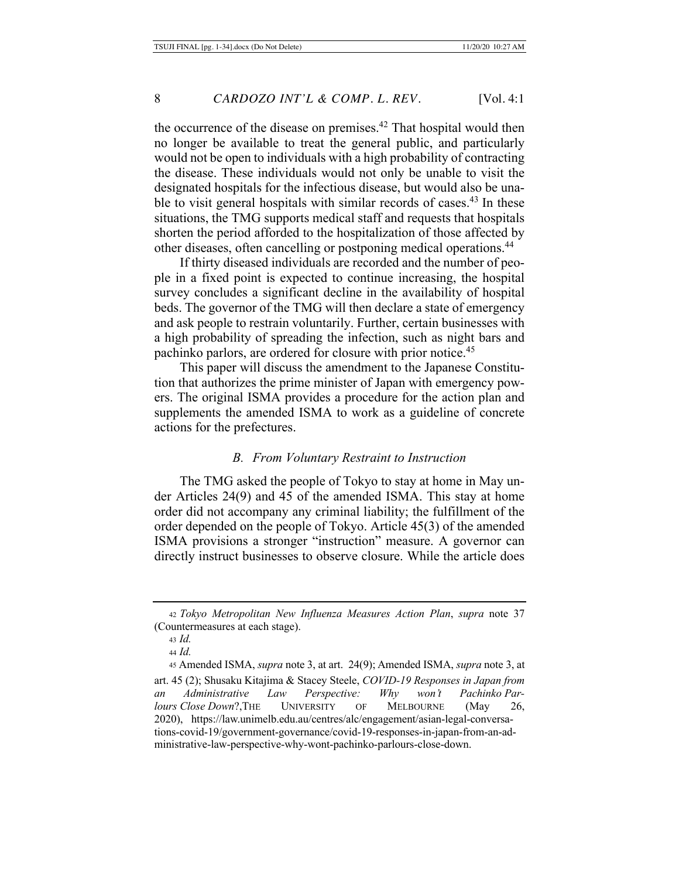the occurrence of the disease on premises.<sup>42</sup> That hospital would then no longer be available to treat the general public, and particularly would not be open to individuals with a high probability of contracting the disease. These individuals would not only be unable to visit the designated hospitals for the infectious disease, but would also be unable to visit general hospitals with similar records of cases. $43$  In these situations, the TMG supports medical staff and requests that hospitals shorten the period afforded to the hospitalization of those affected by other diseases, often cancelling or postponing medical operations.44

If thirty diseased individuals are recorded and the number of people in a fixed point is expected to continue increasing, the hospital survey concludes a significant decline in the availability of hospital beds. The governor of the TMG will then declare a state of emergency and ask people to restrain voluntarily. Further, certain businesses with a high probability of spreading the infection, such as night bars and pachinko parlors, are ordered for closure with prior notice.<sup>45</sup>

This paper will discuss the amendment to the Japanese Constitution that authorizes the prime minister of Japan with emergency powers. The original ISMA provides a procedure for the action plan and supplements the amended ISMA to work as a guideline of concrete actions for the prefectures.

#### *B. From Voluntary Restraint to Instruction*

The TMG asked the people of Tokyo to stay at home in May under Articles 24(9) and 45 of the amended ISMA. This stay at home order did not accompany any criminal liability; the fulfillment of the order depended on the people of Tokyo. Article 45(3) of the amended ISMA provisions a stronger "instruction" measure. A governor can directly instruct businesses to observe closure. While the article does

<sup>42</sup> *Tokyo Metropolitan New Influenza Measures Action Plan*, *supra* note 37 (Countermeasures at each stage).

<sup>43</sup> *Id.*

<sup>44</sup> *Id.*

<sup>45</sup> Amended ISMA, *supra* note 3, at art. 24(9); Amended ISMA, *supra* note 3, at art. 45 (2); Shusaku Kitajima & Stacey Steele, *COVID-19 Responses in Japan from an Administrative Law Perspective: Why won't Pachinko Parlours Close Down*?,THE UNIVERSITY OF MELBOURNE (May 26, 2020), https://law.unimelb.edu.au/centres/alc/engagement/asian-legal-conversations-covid-19/government-governance/covid-19-responses-in-japan-from-an-administrative-law-perspective-why-wont-pachinko-parlours-close-down.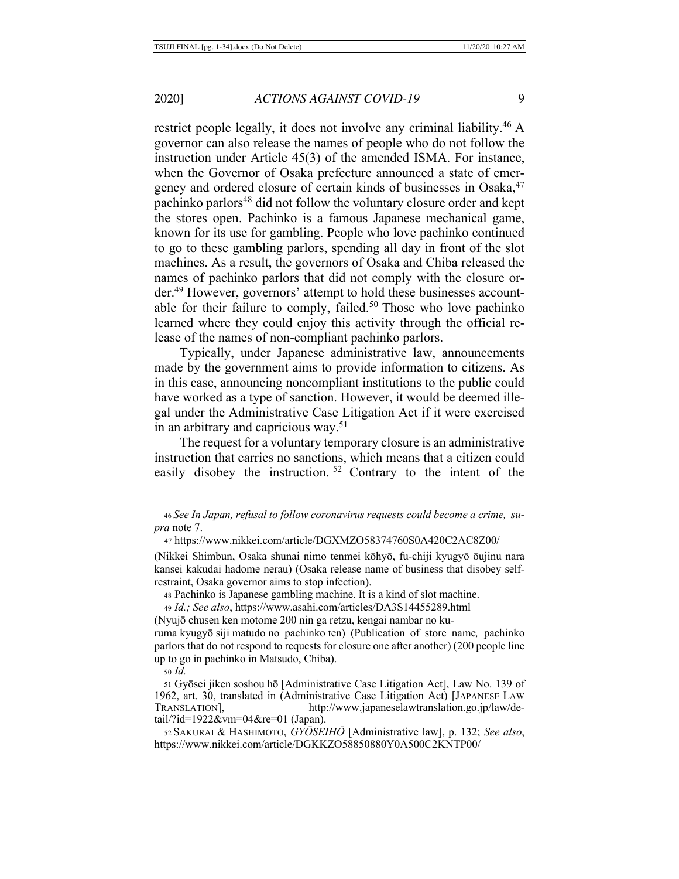restrict people legally, it does not involve any criminal liability.46 A governor can also release the names of people who do not follow the instruction under Article 45(3) of the amended ISMA. For instance, when the Governor of Osaka prefecture announced a state of emergency and ordered closure of certain kinds of businesses in Osaka, <sup>47</sup> pachinko parlors<sup>48</sup> did not follow the voluntary closure order and kept the stores open. Pachinko is a famous Japanese mechanical game, known for its use for gambling. People who love pachinko continued to go to these gambling parlors, spending all day in front of the slot machines. As a result, the governors of Osaka and Chiba released the names of pachinko parlors that did not comply with the closure order.49 However, governors' attempt to hold these businesses accountable for their failure to comply, failed.<sup>50</sup> Those who love pachinko learned where they could enjoy this activity through the official release of the names of non-compliant pachinko parlors.

Typically, under Japanese administrative law, announcements made by the government aims to provide information to citizens. As in this case, announcing noncompliant institutions to the public could have worked as a type of sanction. However, it would be deemed illegal under the Administrative Case Litigation Act if it were exercised in an arbitrary and capricious way. 51

The request for a voluntary temporary closure is an administrative instruction that carries no sanctions, which means that a citizen could easily disobey the instruction.  $52^{\circ}$  Contrary to the intent of the

(Nikkei Shimbun, Osaka shunai nimo tenmei kōhyō, fu-chiji kyugyō ōujinu nara kansei kakudai hadome nerau) (Osaka release name of business that disobey selfrestraint, Osaka governor aims to stop infection).

<sup>48</sup> Pachinko is Japanese gambling machine. It is a kind of slot machine.

<sup>49</sup> *Id.; See also*, https://www.asahi.com/articles/DA3S14455289.html

(Nyujō chusen ken motome 200 nin ga retzu, kengai nambar no ku-

ruma kyugyō siji matudo no pachinko ten) (Publication of store name*,* pachinko parlors that do not respond to requests for closure one after another) (200 people line up to go in pachinko in Matsudo, Chiba).

<sup>50</sup> *Id.*

<sup>51</sup> Gyōsei jiken soshou hō [Administrative Case Litigation Act], Law No. 139 of 1962, art. 30, translated in (Administrative Case Litigation Act) [JAPANESE LAW TRANSLATION], http://www.japaneselawtranslation.go.jp/law/detail/?id=1922&vm=04&re=01 (Japan).

<sup>52</sup> SAKURAI & HASHIMOTO, *GYŌSEIHŌ* [Administrative law], p. 132; *See also*, https://www.nikkei.com/article/DGKKZO58850880Y0A500C2KNTP00/

<sup>46</sup> *See In Japan, refusal to follow coronavirus requests could become a crime, supra* note 7.

<sup>47</sup> https://www.nikkei.com/article/DGXMZO58374760S0A420C2AC8Z00/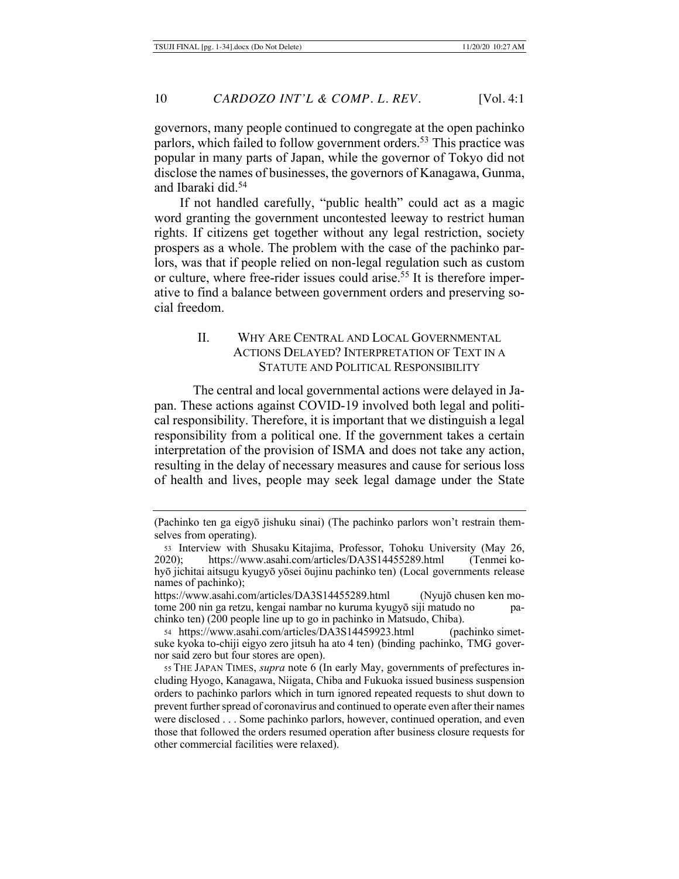governors, many people continued to congregate at the open pachinko parlors, which failed to follow government orders.<sup>53</sup> This practice was popular in many parts of Japan, while the governor of Tokyo did not disclose the names of businesses, the governors of Kanagawa, Gunma, and Ibaraki did.54

If not handled carefully, "public health" could act as a magic word granting the government uncontested leeway to restrict human rights. If citizens get together without any legal restriction, society prospers as a whole. The problem with the case of the pachinko parlors, was that if people relied on non-legal regulation such as custom or culture, where free-rider issues could arise.55 It is therefore imperative to find a balance between government orders and preserving social freedom.

### II. WHY ARE CENTRAL AND LOCAL GOVERNMENTAL ACTIONS DELAYED? INTERPRETATION OF TEXT IN A STATUTE AND POLITICAL RESPONSIBILITY

The central and local governmental actions were delayed in Japan. These actions against COVID-19 involved both legal and political responsibility. Therefore, it is important that we distinguish a legal responsibility from a political one. If the government takes a certain interpretation of the provision of ISMA and does not take any action, resulting in the delay of necessary measures and cause for serious loss of health and lives, people may seek legal damage under the State

<sup>(</sup>Pachinko ten ga eigyō jishuku sinai) (The pachinko parlors won't restrain themselves from operating).

<sup>53</sup> Interview with Shusaku Kitajima, Professor, Tohoku University (May 26, 2020); https://www.asahi.com/articles/DA3S14455289.html (Tenmei kohyō jichitai aitsugu kyugyō yōsei ōujinu pachinko ten) (Local governments release names of pachinko);

https://www.asahi.com/articles/DA3S14455289.html (Nyujō chusen ken motome 200 nin ga retzu, kengai nambar no kuruma kyugyō siji matudo no pachinko ten) (200 people line up to go in pachinko in Matsudo, Chiba).

<sup>54</sup> https://www.asahi.com/articles/DA3S14459923.html (pachinko simetsuke kyoka to-chiji eigyo zero jitsuh ha ato 4 ten) (binding pachinko, TMG governor said zero but four stores are open).

<sup>55</sup> THE JAPAN TIMES, *supra* note 6 (In early May, governments of prefectures including Hyogo, Kanagawa, Niigata, Chiba and Fukuoka issued business suspension orders to pachinko parlors which in turn ignored repeated requests to shut down to prevent further spread of coronavirus and continued to operate even after their names were disclosed . . . Some pachinko parlors, however, continued operation, and even those that followed the orders resumed operation after business closure requests for other commercial facilities were relaxed).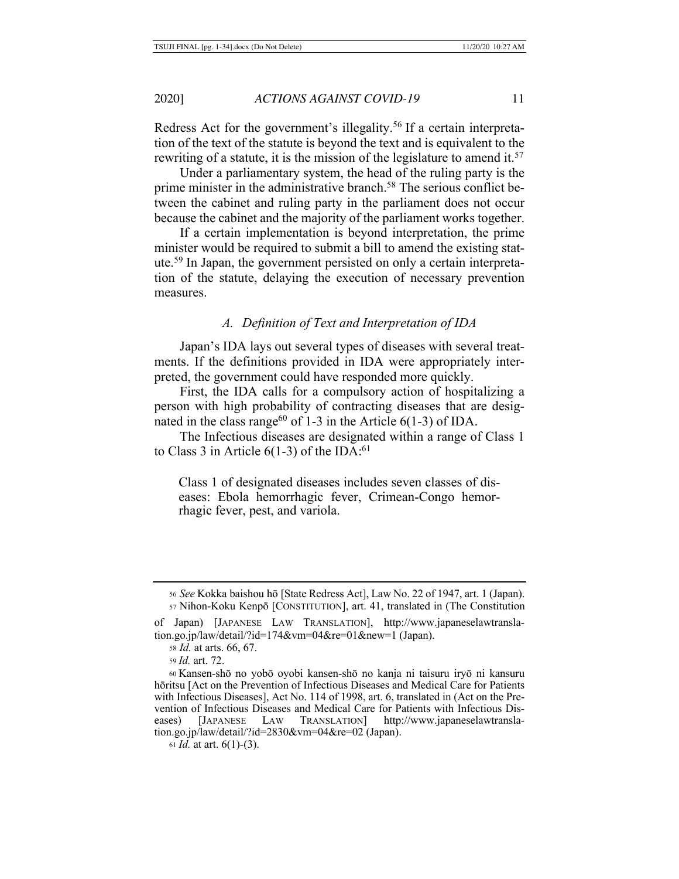Redress Act for the government's illegality.<sup>56</sup> If a certain interpretation of the text of the statute is beyond the text and is equivalent to the rewriting of a statute, it is the mission of the legislature to amend it.<sup>57</sup>

Under a parliamentary system, the head of the ruling party is the prime minister in the administrative branch.<sup>58</sup> The serious conflict between the cabinet and ruling party in the parliament does not occur because the cabinet and the majority of the parliament works together.

If a certain implementation is beyond interpretation, the prime minister would be required to submit a bill to amend the existing statute.59 In Japan, the government persisted on only a certain interpretation of the statute, delaying the execution of necessary prevention measures.

# *A. Definition of Text and Interpretation of IDA*

Japan's IDA lays out several types of diseases with several treatments. If the definitions provided in IDA were appropriately interpreted, the government could have responded more quickly.

First, the IDA calls for a compulsory action of hospitalizing a person with high probability of contracting diseases that are designated in the class range<sup>60</sup> of 1-3 in the Article  $6(1-3)$  of IDA.

The Infectious diseases are designated within a range of Class 1 to Class 3 in Article 6(1-3) of the IDA: $61$ 

Class 1 of designated diseases includes seven classes of diseases: Ebola hemorrhagic fever, Crimean‐Congo hemorrhagic fever, pest, and variola.

of Japan) [JAPANESE LAW TRANSLATION], http://www.japaneselawtranslation.go.jp/law/detail/?id=174&vm=04&re=01&new=1 (Japan).

<sup>56</sup> *See* Kokka baishou hō [State Redress Act], Law No. 22 of 1947, art. 1 (Japan). <sup>57</sup> Nihon-Koku Kenpō [CONSTITUTION], art. 41, translated in (The Constitution

<sup>58</sup> *Id.* at arts. 66, 67.

<sup>59</sup> *Id.* art. 72.

<sup>60</sup> Kansen-shō no yobō oyobi kansen-shō no kanja ni taisuru iryō ni kansuru hōritsu [Act on the Prevention of Infectious Diseases and Medical Care for Patients with Infectious Diseases], Act No. 114 of 1998, art. 6, translated in (Act on the Prevention of Infectious Diseases and Medical Care for Patients with Infectious Diseases) [JAPANESE LAW TRANSLATION] http://www.japaneselawtranslaeases) [JAPANESE LAW TRANSLATION] http://www.japaneselawtranslation.go.jp/law/detail/?id=2830&vm=04&re=02 (Japan).

<sup>61</sup> *Id.* at art. 6(1)-(3).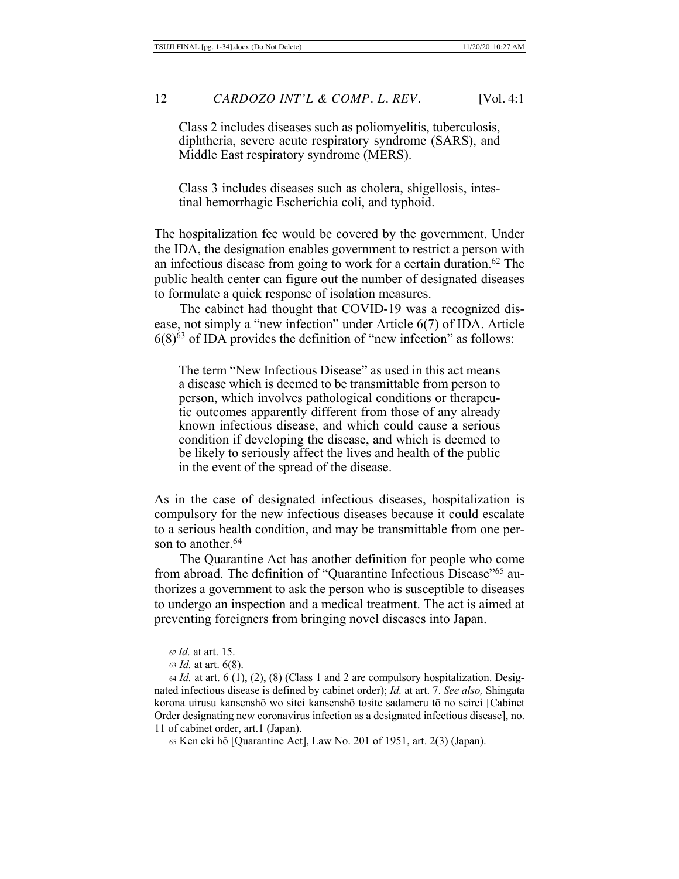Class 2 includes diseases such as poliomyelitis, tuberculosis, diphtheria, severe acute respiratory syndrome (SARS), and Middle East respiratory syndrome (MERS).

Class 3 includes diseases such as cholera, shigellosis, intestinal hemorrhagic Escherichia coli, and typhoid.

The hospitalization fee would be covered by the government. Under the IDA, the designation enables government to restrict a person with an infectious disease from going to work for a certain duration.62 The public health center can figure out the number of designated diseases to formulate a quick response of isolation measures.

The cabinet had thought that COVID-19 was a recognized disease, not simply a "new infection" under Article 6(7) of IDA. Article  $6(8)^{63}$  of IDA provides the definition of "new infection" as follows:

The term "New Infectious Disease" as used in this act means a disease which is deemed to be transmittable from person to person, which involves pathological conditions or therapeutic outcomes apparently different from those of any already known infectious disease, and which could cause a serious condition if developing the disease, and which is deemed to be likely to seriously affect the lives and health of the public in the event of the spread of the disease.

As in the case of designated infectious diseases, hospitalization is compulsory for the new infectious diseases because it could escalate to a serious health condition, and may be transmittable from one person to another.<sup>64</sup>

The Quarantine Act has another definition for people who come from abroad. The definition of "Quarantine Infectious Disease"<sup>65</sup> authorizes a government to ask the person who is susceptible to diseases to undergo an inspection and a medical treatment. The act is aimed at preventing foreigners from bringing novel diseases into Japan.

<sup>62</sup> *Id.* at art. 15.

<sup>63</sup> *Id.* at art. 6(8).

<sup>64</sup> *Id.* at art. 6 (1), (2), (8) (Class 1 and 2 are compulsory hospitalization. Designated infectious disease is defined by cabinet order); *Id.* at art. 7. *See also,* Shingata korona uirusu kansenshō wo sitei kansenshō tosite sadameru tō no seirei [Cabinet Order designating new coronavirus infection as a designated infectious disease], no. 11 of cabinet order, art.1 (Japan).

<sup>65</sup> Ken eki hō [Quarantine Act], Law No. 201 of 1951, art. 2(3) (Japan).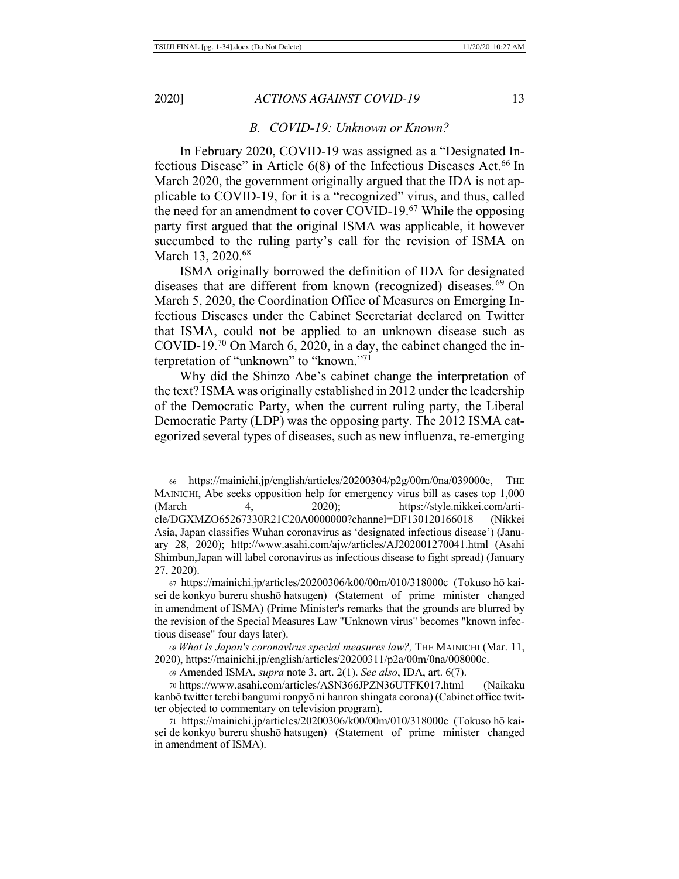#### *B. COVID-19: Unknown or Known?*

In February 2020, COVID-19 was assigned as a "Designated Infectious Disease" in Article  $6(8)$  of the Infectious Diseases Act.<sup>66</sup> In March 2020, the government originally argued that the IDA is not applicable to COVID-19, for it is a "recognized" virus, and thus, called the need for an amendment to cover COVID-19.67 While the opposing party first argued that the original ISMA was applicable, it however succumbed to the ruling party's call for the revision of ISMA on March 13, 2020.<sup>68</sup>

ISMA originally borrowed the definition of IDA for designated diseases that are different from known (recognized) diseases.<sup>69</sup> On March 5, 2020, the Coordination Office of Measures on Emerging Infectious Diseases under the Cabinet Secretariat declared on Twitter that ISMA, could not be applied to an unknown disease such as COVID-19.70 On March 6, 2020, in a day, the cabinet changed the interpretation of "unknown" to "known."71

Why did the Shinzo Abe's cabinet change the interpretation of the text? ISMA was originally established in 2012 under the leadership of the Democratic Party, when the current ruling party, the Liberal Democratic Party (LDP) was the opposing party. The 2012 ISMA categorized several types of diseases, such as new influenza, re-emerging

<sup>66</sup> https://mainichi.jp/english/articles/20200304/p2g/00m/0na/039000c, THE MAINICHI, Abe seeks opposition help for emergency virus bill as cases top 1,000 (March 4, 2020); https://style.nikkei.com/article/DGXMZO65267330R21C20A0000000?channel=DF130120166018 (Nikkei Asia, Japan classifies Wuhan coronavirus as 'designated infectious disease') (January 28, 2020); http://www.asahi.com/ajw/articles/AJ202001270041.html (Asahi Shimbun,Japan will label coronavirus as infectious disease to fight spread) (January 27, 2020).

<sup>67</sup> https://mainichi.jp/articles/20200306/k00/00m/010/318000c (Tokuso hō kaisei de konkyo bureru shushō hatsugen) (Statement of prime minister changed in amendment of ISMA) (Prime Minister's remarks that the grounds are blurred by the revision of the Special Measures Law "Unknown virus" becomes "known infectious disease" four days later).

<sup>68</sup> *What is Japan's coronavirus special measures law?,* THE MAINICHI (Mar. 11, 2020), https://mainichi.jp/english/articles/20200311/p2a/00m/0na/008000c.

<sup>69</sup> Amended ISMA, *supra* note 3, art. 2(1). *See also*, IDA, art. 6(7).

<sup>70</sup> https://www.asahi.com/articles/ASN366JPZN36UTFK017.html (Naikaku kanbō twitter terebi bangumi ronpyō ni hanron shingata corona) (Cabinet office twitter objected to commentary on television program).

<sup>71</sup> https://mainichi.jp/articles/20200306/k00/00m/010/318000c (Tokuso hō kaisei de konkyo bureru shushō hatsugen) (Statement of prime minister changed in amendment of ISMA).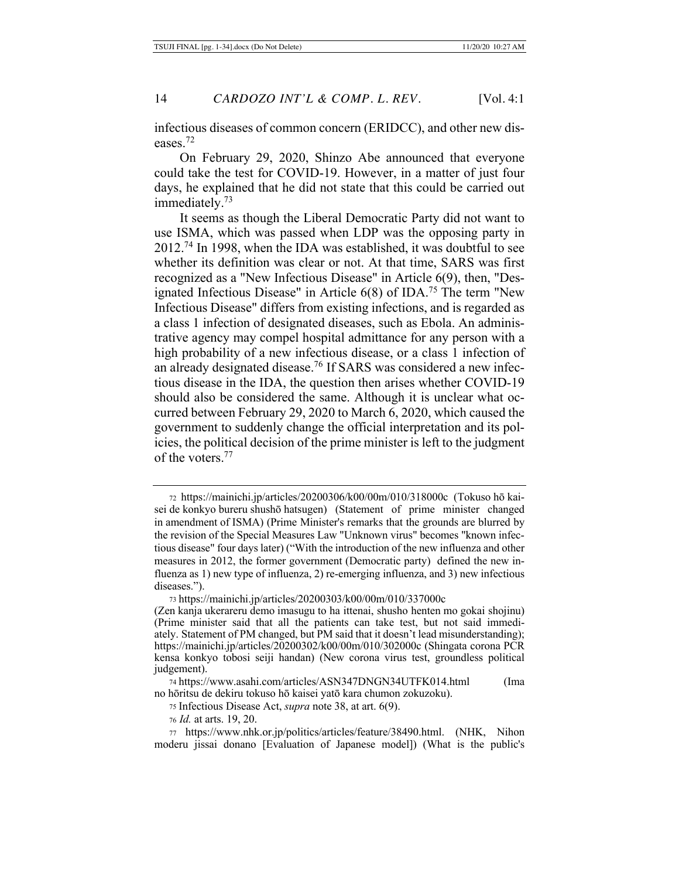infectious diseases of common concern (ERIDCC), and other new diseases. 72

On February 29, 2020, Shinzo Abe announced that everyone could take the test for COVID-19. However, in a matter of just four days, he explained that he did not state that this could be carried out immediately.73

It seems as though the Liberal Democratic Party did not want to use ISMA, which was passed when LDP was the opposing party in 2012.74 In 1998, when the IDA was established, it was doubtful to see whether its definition was clear or not. At that time, SARS was first recognized as a "New Infectious Disease" in Article 6(9), then, "Designated Infectious Disease" in Article 6(8) of IDA.75 The term "New Infectious Disease" differs from existing infections, and is regarded as a class 1 infection of designated diseases, such as Ebola. An administrative agency may compel hospital admittance for any person with a high probability of a new infectious disease, or a class 1 infection of an already designated disease.76 If SARS was considered a new infectious disease in the IDA, the question then arises whether COVID-19 should also be considered the same. Although it is unclear what occurred between February 29, 2020 to March 6, 2020, which caused the government to suddenly change the official interpretation and its policies, the political decision of the prime minister is left to the judgment of the voters.77

<sup>73</sup> https://mainichi.jp/articles/20200303/k00/00m/010/337000c

<sup>72</sup> https://mainichi.jp/articles/20200306/k00/00m/010/318000c (Tokuso hō kaisei de konkyo bureru shushō hatsugen) (Statement of prime minister changed in amendment of ISMA) (Prime Minister's remarks that the grounds are blurred by the revision of the Special Measures Law "Unknown virus" becomes "known infectious disease" four days later) ("With the introduction of the new influenza and other measures in 2012, the former government (Democratic party) defined the new influenza as 1) new type of influenza, 2) re-emerging influenza, and 3) new infectious diseases.").

<sup>(</sup>Zen kanja ukerareru demo imasugu to ha ittenai, shusho henten mo gokai shojinu) (Prime minister said that all the patients can take test, but not said immediately. Statement of PM changed, but PM said that it doesn't lead misunderstanding); https://mainichi.jp/articles/20200302/k00/00m/010/302000c (Shingata corona PCR kensa konkyo tobosi seiji handan) (New corona virus test, groundless political judgement).

<sup>74</sup> https://www.asahi.com/articles/ASN347DNGN34UTFK014.html (Ima no hōritsu de dekiru tokuso hō kaisei yatō kara chumon zokuzoku).

<sup>75</sup> Infectious Disease Act, *supra* note 38, at art. 6(9).

<sup>76</sup> *Id.* at arts. 19, 20.

<sup>77</sup> https://www.nhk.or.jp/politics/articles/feature/38490.html. (NHK, Nihon moderu jissai donano [Evaluation of Japanese model]) (What is the public's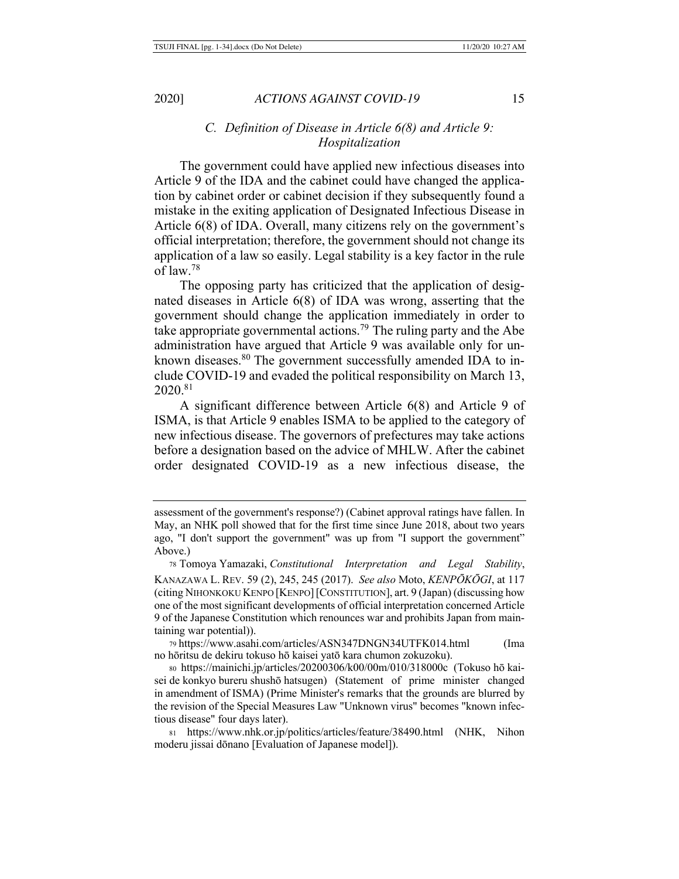# *C. Definition of Disease in Article 6(8) and Article 9: Hospitalization*

The government could have applied new infectious diseases into Article 9 of the IDA and the cabinet could have changed the application by cabinet order or cabinet decision if they subsequently found a mistake in the exiting application of Designated Infectious Disease in Article 6(8) of IDA. Overall, many citizens rely on the government's official interpretation; therefore, the government should not change its application of a law so easily. Legal stability is a key factor in the rule of law.78

The opposing party has criticized that the application of designated diseases in Article 6(8) of IDA was wrong, asserting that the government should change the application immediately in order to take appropriate governmental actions.79 The ruling party and the Abe administration have argued that Article 9 was available only for unknown diseases.<sup>80</sup> The government successfully amended IDA to include COVID-19 and evaded the political responsibility on March 13, 2020.81

A significant difference between Article 6(8) and Article 9 of ISMA, is that Article 9 enables ISMA to be applied to the category of new infectious disease. The governors of prefectures may take actions before a designation based on the advice of MHLW. After the cabinet order designated COVID-19 as a new infectious disease, the

assessment of the government's response?) (Cabinet approval ratings have fallen. In May, an NHK poll showed that for the first time since June 2018, about two years ago, "I don't support the government" was up from "I support the government" Above.)

<sup>78</sup> Tomoya Yamazaki, *Constitutional Interpretation and Legal Stability*, KANAZAWA L. REV. 59 (2), 245, 245 (2017). *See also* Moto, *KENPŌKŌGI*, at 117 (citing NIHONKOKU KENPO [KENPO][CONSTITUTION], art. 9 (Japan) (discussing how one of the most significant developments of official interpretation concerned Article 9 of the Japanese Constitution which renounces war and prohibits Japan from maintaining war potential)).

<sup>79</sup> https://www.asahi.com/articles/ASN347DNGN34UTFK014.html (Ima no hōritsu de dekiru tokuso hō kaisei yatō kara chumon zokuzoku).

<sup>80</sup> https://mainichi.jp/articles/20200306/k00/00m/010/318000c (Tokuso hō kaisei de konkyo bureru shushō hatsugen) (Statement of prime minister changed in amendment of ISMA) (Prime Minister's remarks that the grounds are blurred by the revision of the Special Measures Law "Unknown virus" becomes "known infectious disease" four days later).

<sup>81</sup> https://www.nhk.or.jp/politics/articles/feature/38490.html (NHK, Nihon moderu jissai dōnano [Evaluation of Japanese model]).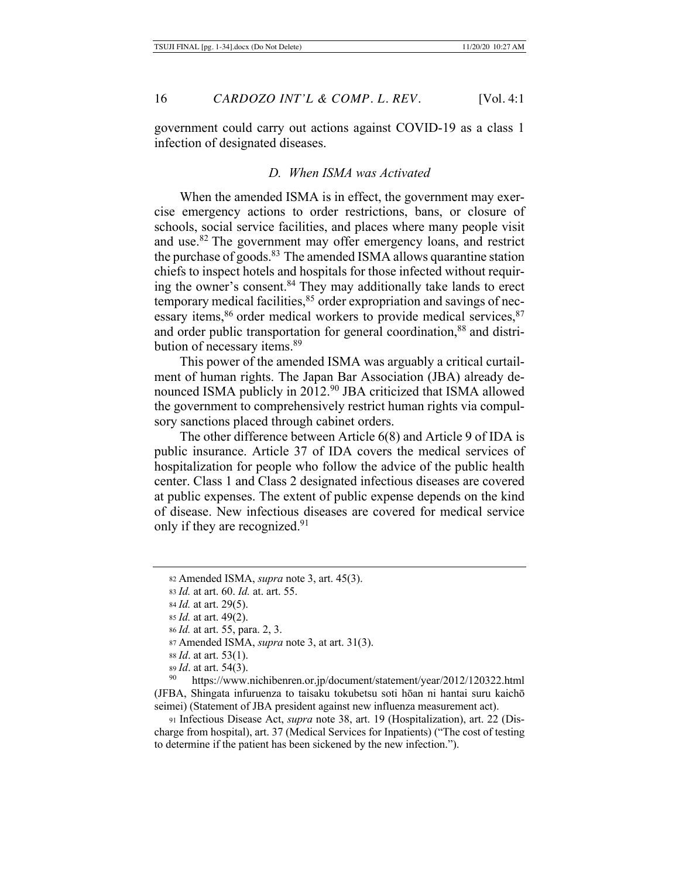government could carry out actions against COVID-19 as a class 1 infection of designated diseases.

### *D. When ISMA was Activated*

When the amended ISMA is in effect, the government may exercise emergency actions to order restrictions, bans, or closure of schools, social service facilities, and places where many people visit and use.82 The government may offer emergency loans, and restrict the purchase of goods.<sup>83</sup> The amended ISMA allows quarantine station chiefs to inspect hotels and hospitals for those infected without requiring the owner's consent.84 They may additionally take lands to erect temporary medical facilities,  $85$  order expropriation and savings of necessary items,<sup>86</sup> order medical workers to provide medical services,<sup>87</sup> and order public transportation for general coordination,<sup>88</sup> and distribution of necessary items.<sup>89</sup>

This power of the amended ISMA was arguably a critical curtailment of human rights. The Japan Bar Association (JBA) already denounced ISMA publicly in 2012.<sup>90</sup> JBA criticized that ISMA allowed the government to comprehensively restrict human rights via compulsory sanctions placed through cabinet orders.

The other difference between Article 6(8) and Article 9 of IDA is public insurance. Article 37 of IDA covers the medical services of hospitalization for people who follow the advice of the public health center. Class 1 and Class 2 designated infectious diseases are covered at public expenses. The extent of public expense depends on the kind of disease. New infectious diseases are covered for medical service only if they are recognized.<sup>91</sup>

- <sup>88</sup> *Id*. at art. 53(1).
- <sup>89</sup> *Id*. at art. 54(3).

<sup>90</sup> https://www.nichibenren.or.jp/document/statement/year/2012/120322.html (JFBA, Shingata infuruenza to taisaku tokubetsu soti hōan ni hantai suru kaichō seimei) (Statement of JBA president against new influenza measurement act).

<sup>91</sup> Infectious Disease Act, *supra* note 38, art. 19 (Hospitalization), art. 22 (Discharge from hospital), art. 37 (Medical Services for Inpatients) ("The cost of testing to determine if the patient has been sickened by the new infection.").

<sup>82</sup> Amended ISMA, *supra* note 3, art. 45(3).

<sup>83</sup> *Id.* at art. 60. *Id.* at. art. 55.

<sup>84</sup> *Id.* at art. 29(5).

<sup>85</sup> *Id.* at art. 49(2).

<sup>86</sup> *Id.* at art. 55, para. 2, 3.

<sup>87</sup> Amended ISMA, *supra* note 3, at art. 31(3).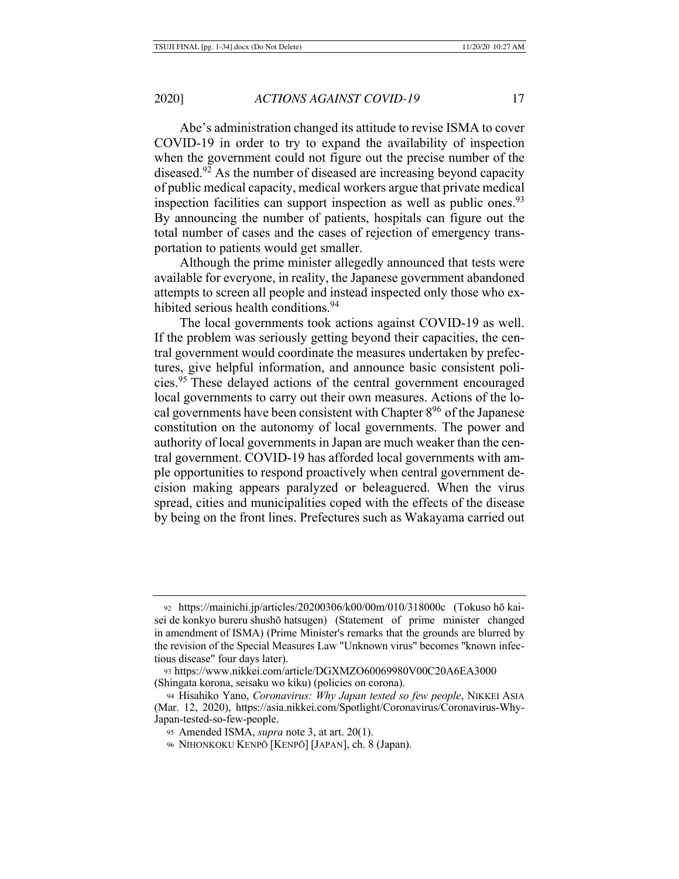Abe's administration changed its attitude to revise ISMA to cover COVID-19 in order to try to expand the availability of inspection when the government could not figure out the precise number of the diseased.<sup>92</sup> As the number of diseased are increasing beyond capacity of public medical capacity, medical workers argue that private medical inspection facilities can support inspection as well as public ones.<sup>93</sup> By announcing the number of patients, hospitals can figure out the total number of cases and the cases of rejection of emergency transportation to patients would get smaller.

Although the prime minister allegedly announced that tests were available for everyone, in reality, the Japanese government abandoned attempts to screen all people and instead inspected only those who exhibited serious health conditions.<sup>94</sup>

The local governments took actions against COVID-19 as well. If the problem was seriously getting beyond their capacities, the central government would coordinate the measures undertaken by prefectures, give helpful information, and announce basic consistent policies.95 These delayed actions of the central government encouraged local governments to carry out their own measures. Actions of the local governments have been consistent with Chapter 896 of the Japanese constitution on the autonomy of local governments. The power and authority of local governments in Japan are much weaker than the central government. COVID-19 has afforded local governments with ample opportunities to respond proactively when central government decision making appears paralyzed or beleaguered. When the virus spread, cities and municipalities coped with the effects of the disease by being on the front lines. Prefectures such as Wakayama carried out

<sup>92</sup> https://mainichi.jp/articles/20200306/k00/00m/010/318000c (Tokuso hō kaisei de konkyo bureru shushō hatsugen) (Statement of prime minister changed in amendment of ISMA) (Prime Minister's remarks that the grounds are blurred by the revision of the Special Measures Law "Unknown virus" becomes "known infectious disease" four days later).

<sup>93</sup> https://www.nikkei.com/article/DGXMZO60069980V00C20A6EA3000 (Shingata korona, seisaku wo kiku) (policies on corona).

<sup>94</sup> Hisahiko Yano, *Coronavirus: Why Japan tested so few people*, NIKKEI ASIA (Mar. 12, 2020), https://asia.nikkei.com/Spotlight/Coronavirus/Coronavirus-Why-Japan-tested-so-few-people.

<sup>95</sup> Amended ISMA, *supra* note 3, at art. 20(1).

<sup>96</sup> NIHONKOKU KENPŌ [KENPŌ] [JAPAN], ch. 8 (Japan).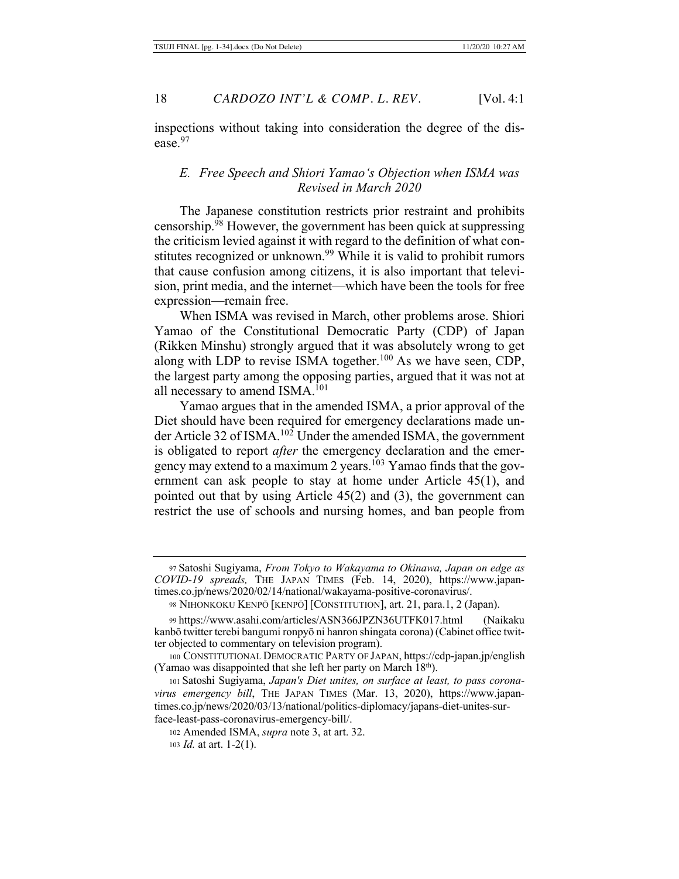inspections without taking into consideration the degree of the disease. 97

# *E. Free Speech and Shiori Yamao's Objection when ISMA was Revised in March 2020*

The Japanese constitution restricts prior restraint and prohibits censorship.98 However, the government has been quick at suppressing the criticism levied against it with regard to the definition of what constitutes recognized or unknown.<sup>99</sup> While it is valid to prohibit rumors that cause confusion among citizens, it is also important that television, print media, and the internet—which have been the tools for free expression—remain free.

When ISMA was revised in March, other problems arose. Shiori Yamao of the Constitutional Democratic Party (CDP) of Japan (Rikken Minshu) strongly argued that it was absolutely wrong to get along with LDP to revise ISMA together.<sup>100</sup> As we have seen, CDP, the largest party among the opposing parties, argued that it was not at all necessary to amend ISMA.<sup>101</sup>

Yamao argues that in the amended ISMA, a prior approval of the Diet should have been required for emergency declarations made under Article 32 of ISMA.102 Under the amended ISMA, the government is obligated to report *after* the emergency declaration and the emergency may extend to a maximum 2 years.103 Yamao finds that the government can ask people to stay at home under Article 45(1), and pointed out that by using Article 45(2) and (3), the government can restrict the use of schools and nursing homes, and ban people from

<sup>97</sup> Satoshi Sugiyama, *From Tokyo to Wakayama to Okinawa, Japan on edge as COVID-19 spreads,* THE JAPAN TIMES (Feb. 14, 2020), https://www.japantimes.co.jp/news/2020/02/14/national/wakayama-positive-coronavirus/.

<sup>98</sup> NIHONKOKU KENPŌ [KENPŌ] [CONSTITUTION], art. 21, para.1, 2 (Japan).

<sup>99</sup> https://www.asahi.com/articles/ASN366JPZN36UTFK017.html (Naikaku kanbō twitter terebi bangumi ronpyō ni hanron shingata corona) (Cabinet office twitter objected to commentary on television program).

<sup>100</sup> CONSTITUTIONAL DEMOCRATIC PARTY OF JAPAN, https://cdp-japan.jp/english (Yamao was disappointed that she left her party on March  $18<sup>th</sup>$ ).

<sup>101</sup> Satoshi Sugiyama, *Japan's Diet unites, on surface at least, to pass coronavirus emergency bill*, THE JAPAN TIMES (Mar. 13, 2020), https://www.japantimes.co.jp/news/2020/03/13/national/politics-diplomacy/japans-diet-unites-surface-least-pass-coronavirus-emergency-bill/.

<sup>102</sup> Amended ISMA, *supra* note 3, at art. 32.

<sup>103</sup> *Id.* at art. 1-2(1).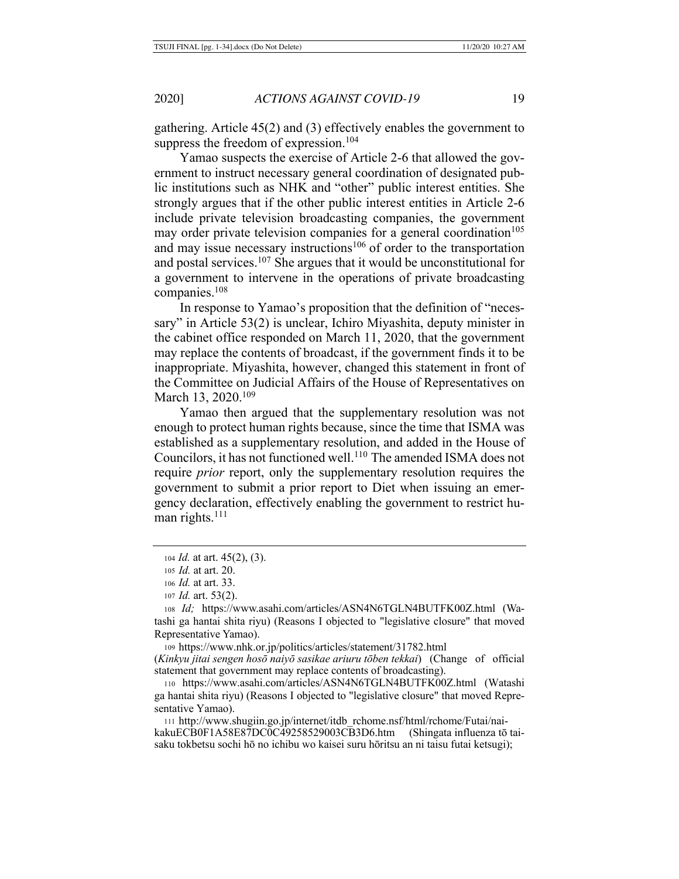gathering. Article 45(2) and (3) effectively enables the government to suppress the freedom of expression.<sup>104</sup>

Yamao suspects the exercise of Article 2-6 that allowed the government to instruct necessary general coordination of designated public institutions such as NHK and "other" public interest entities. She strongly argues that if the other public interest entities in Article 2-6 include private television broadcasting companies, the government may order private television companies for a general coordination<sup>105</sup> and may issue necessary instructions<sup>106</sup> of order to the transportation and postal services.<sup>107</sup> She argues that it would be unconstitutional for a government to intervene in the operations of private broadcasting companies.108

In response to Yamao's proposition that the definition of "necessary" in Article 53(2) is unclear, Ichiro Miyashita, deputy minister in the cabinet office responded on March 11, 2020, that the government may replace the contents of broadcast, if the government finds it to be inappropriate. Miyashita, however, changed this statement in front of the Committee on Judicial Affairs of the House of Representatives on March 13, 2020.<sup>109</sup>

Yamao then argued that the supplementary resolution was not enough to protect human rights because, since the time that ISMA was established as a supplementary resolution, and added in the House of Councilors, it has not functioned well.<sup>110</sup> The amended ISMA does not require *prior* report, only the supplementary resolution requires the government to submit a prior report to Diet when issuing an emergency declaration, effectively enabling the government to restrict human rights.<sup>111</sup>

<sup>111</sup> http://www.shugiin.go.jp/internet/itdb\_rchome.nsf/html/rchome/Futai/naikakuECB0F1A58E87DC0C49258529003CB3D6.htm (Shingata influenza tō taisaku tokbetsu sochi hō no ichibu wo kaisei suru hōritsu an ni taisu futai ketsugi);

<sup>104</sup> *Id.* at art. 45(2), (3).

<sup>105</sup> *Id.* at art. 20.

<sup>106</sup> *Id.* at art. 33.

<sup>107</sup> *Id.* art. 53(2).

<sup>108</sup> *Id;* https://www.asahi.com/articles/ASN4N6TGLN4BUTFK00Z.html (Watashi ga hantai shita riyu) (Reasons I objected to "legislative closure" that moved Representative Yamao).

<sup>109</sup> https://www.nhk.or.jp/politics/articles/statement/31782.html

<sup>(</sup>*Kinkyu jitai sengen hosō naiyō sasikae ariuru tōben tekkai*) (Change of official statement that government may replace contents of broadcasting).

<sup>110</sup> https://www.asahi.com/articles/ASN4N6TGLN4BUTFK00Z.html (Watashi ga hantai shita riyu) (Reasons I objected to "legislative closure" that moved Representative Yamao).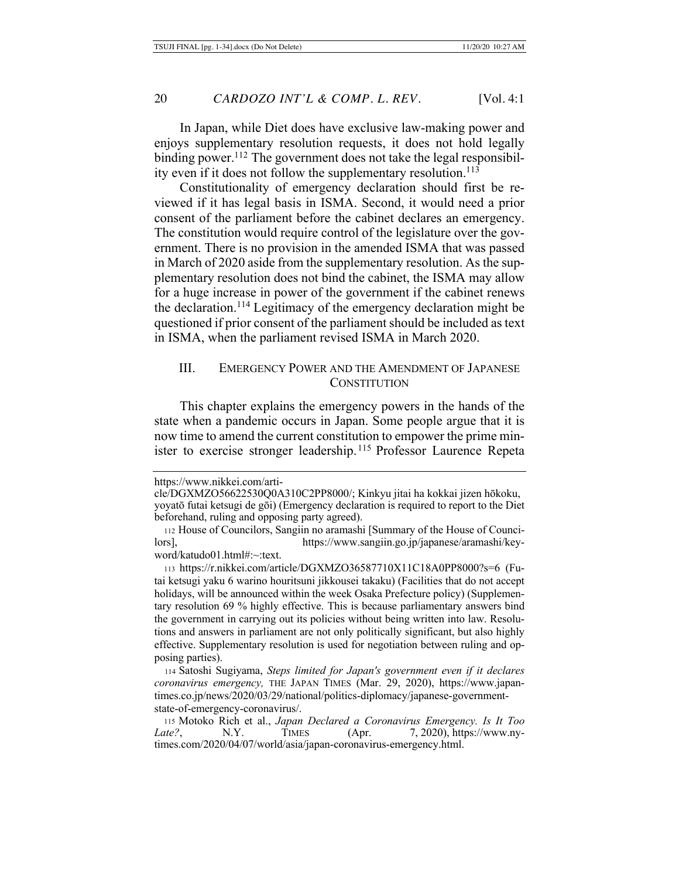In Japan, while Diet does have exclusive law-making power and enjoys supplementary resolution requests, it does not hold legally binding power.<sup>112</sup> The government does not take the legal responsibility even if it does not follow the supplementary resolution.<sup>113</sup>

Constitutionality of emergency declaration should first be reviewed if it has legal basis in ISMA. Second, it would need a prior consent of the parliament before the cabinet declares an emergency. The constitution would require control of the legislature over the government. There is no provision in the amended ISMA that was passed in March of 2020 aside from the supplementary resolution. As the supplementary resolution does not bind the cabinet, the ISMA may allow for a huge increase in power of the government if the cabinet renews the declaration.114 Legitimacy of the emergency declaration might be questioned if prior consent of the parliament should be included as text in ISMA, when the parliament revised ISMA in March 2020.

## III. EMERGENCY POWER AND THE AMENDMENT OF JAPANESE **CONSTITUTION**

This chapter explains the emergency powers in the hands of the state when a pandemic occurs in Japan. Some people argue that it is now time to amend the current constitution to empower the prime minister to exercise stronger leadership. 115 Professor Laurence Repeta

https://www.nikkei.com/arti-

cle/DGXMZO56622530Q0A310C2PP8000/; Kinkyu jitai ha kokkai jizen hōkoku, yoyatō futai ketsugi de gōi) (Emergency declaration is required to report to the Diet beforehand, ruling and opposing party agreed).

<sup>112</sup> House of Councilors, Sangiin no aramashi [Summary of the House of Councilors], https://www.sangiin.go.jp/japanese/aramashi/keyword/katudo01.html#:~:text.

<sup>113</sup> https://r.nikkei.com/article/DGXMZO36587710X11C18A0PP8000?s=6 (Futai ketsugi yaku 6 warino houritsuni jikkousei takaku) (Facilities that do not accept holidays, will be announced within the week Osaka Prefecture policy) (Supplementary resolution 69 % highly effective. This is because parliamentary answers bind the government in carrying out its policies without being written into law. Resolutions and answers in parliament are not only politically significant, but also highly effective. Supplementary resolution is used for negotiation between ruling and opposing parties).

<sup>114</sup> Satoshi Sugiyama, *Steps limited for Japan's government even if it declares coronavirus emergency,* THE JAPAN TIMES (Mar. 29, 2020), https://www.japantimes.co.jp/news/2020/03/29/national/politics-diplomacy/japanese-governmentstate-of-emergency-coronavirus/.

<sup>115</sup> Motoko Rich et al., *Japan Declared a Coronavirus Emergency. Is It Too Late?*, N.Y. TIMES (Apr. 7, 2020), https://www.nytimes.com/2020/04/07/world/asia/japan-coronavirus-emergency.html.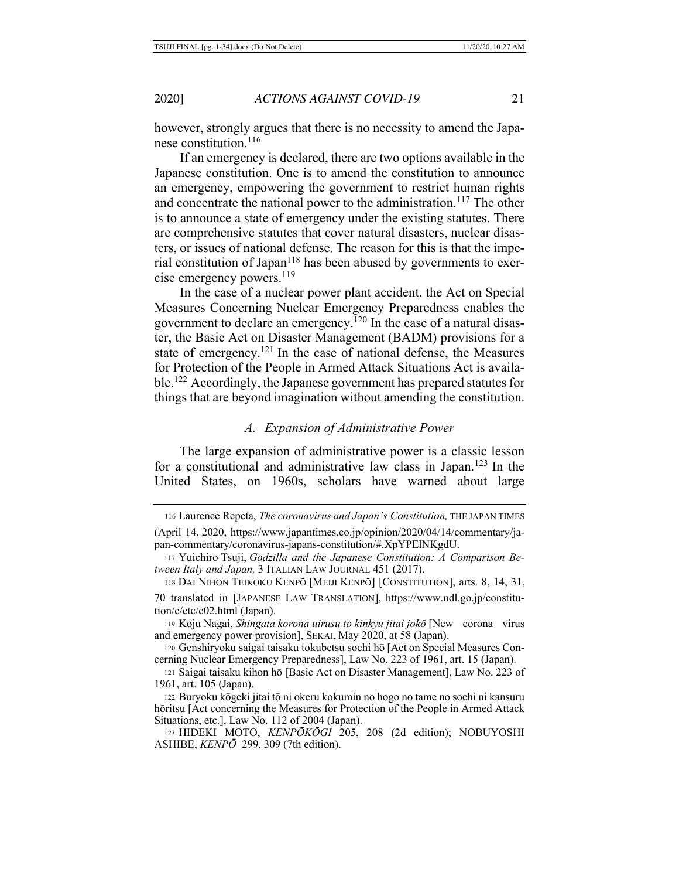however, strongly argues that there is no necessity to amend the Japanese constitution.116

If an emergency is declared, there are two options available in the Japanese constitution. One is to amend the constitution to announce an emergency, empowering the government to restrict human rights and concentrate the national power to the administration.<sup>117</sup> The other is to announce a state of emergency under the existing statutes. There are comprehensive statutes that cover natural disasters, nuclear disasters, or issues of national defense. The reason for this is that the imperial constitution of Japan<sup>118</sup> has been abused by governments to exercise emergency powers.<sup>119</sup>

In the case of a nuclear power plant accident, the Act on Special Measures Concerning Nuclear Emergency Preparedness enables the government to declare an emergency.120 In the case of a natural disaster, the Basic Act on Disaster Management (BADM) provisions for a state of emergency.121 In the case of national defense, the Measures for Protection of the People in Armed Attack Situations Act is available.122 Accordingly, the Japanese government has prepared statutes for things that are beyond imagination without amending the constitution.

#### *A. Expansion of Administrative Power*

The large expansion of administrative power is a classic lesson for a constitutional and administrative law class in Japan.123 In the United States, on 1960s, scholars have warned about large

<sup>120</sup> Genshiryoku saigai taisaku tokubetsu sochi hō [Act on Special Measures Concerning Nuclear Emergency Preparedness], Law No. 223 of 1961, art. 15 (Japan).

<sup>116</sup> Laurence Repeta, *The coronavirus and Japan's Constitution,* THE JAPAN TIMES (April 14, 2020, https://www.japantimes.co.jp/opinion/2020/04/14/commentary/ja-

pan-commentary/coronavirus-japans-constitution/#.XpYPElNKgdU.

<sup>117</sup> Yuichiro Tsuji, *Godzilla and the Japanese Constitution: A Comparison Between Italy and Japan,* 3 ITALIAN LAW JOURNAL 451 (2017).

<sup>118</sup> DAI NIHON TEIKOKU KENPŌ [MEIJI KENPŌ] [CONSTITUTION], arts. 8, 14, 31,

<sup>70</sup> translated in [JAPANESE LAW TRANSLATION], https://www.ndl.go.jp/constitution/e/etc/c02.html (Japan).

<sup>119</sup> Koju Nagai, *Shingata korona uirusu to kinkyu jitai jokō* [New corona virus and emergency power provision], SEKAI, May 2020, at 58 (Japan).

<sup>121</sup> Saigai taisaku kihon hō [Basic Act on Disaster Management], Law No. 223 of 1961, art. 105 (Japan).

<sup>122</sup> Buryoku kōgeki jitai tō ni okeru kokumin no hogo no tame no sochi ni kansuru hōritsu [Act concerning the Measures for Protection of the People in Armed Attack Situations, etc.], Law No. 112 of 2004 (Japan).

<sup>123</sup> HIDEKI MOTO, *KENPŌKŌGI* 205, 208 (2d edition); NOBUYOSHI ASHIBE, *KENPŌ* 299, 309 (7th edition).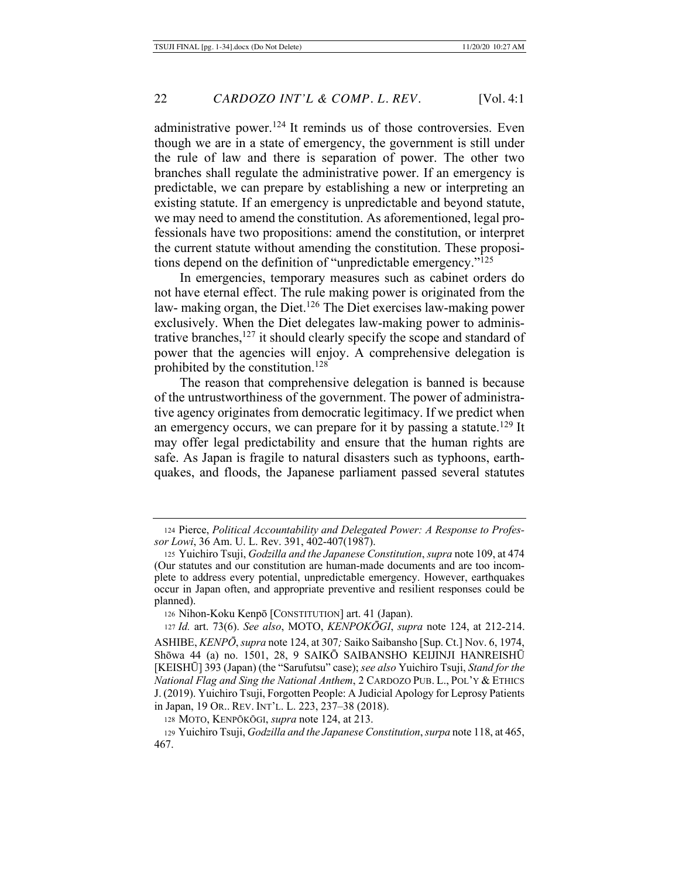administrative power.<sup>124</sup> It reminds us of those controversies. Even though we are in a state of emergency, the government is still under the rule of law and there is separation of power. The other two branches shall regulate the administrative power. If an emergency is predictable, we can prepare by establishing a new or interpreting an existing statute. If an emergency is unpredictable and beyond statute, we may need to amend the constitution. As aforementioned, legal professionals have two propositions: amend the constitution, or interpret the current statute without amending the constitution. These propositions depend on the definition of "unpredictable emergency."125

In emergencies, temporary measures such as cabinet orders do not have eternal effect. The rule making power is originated from the law- making organ, the Diet.126 The Diet exercises law-making power exclusively. When the Diet delegates law-making power to administrative branches, $127$  it should clearly specify the scope and standard of power that the agencies will enjoy. A comprehensive delegation is prohibited by the constitution.<sup>128</sup>

The reason that comprehensive delegation is banned is because of the untrustworthiness of the government. The power of administrative agency originates from democratic legitimacy. If we predict when an emergency occurs, we can prepare for it by passing a statute.<sup>129</sup> It may offer legal predictability and ensure that the human rights are safe. As Japan is fragile to natural disasters such as typhoons, earthquakes, and floods, the Japanese parliament passed several statutes

<sup>126</sup> Nihon-Koku Kenpō [CONSTITUTION] art. 41 (Japan).

<sup>124</sup> Pierce, *Political Accountability and Delegated Power: A Response to Professor Lowi*, 36 Am. U. L. Rev. 391, 402-407(1987).

<sup>125</sup> Yuichiro Tsuji, *Godzilla and the Japanese Constitution*, *supra* note 109, at 474 (Our statutes and our constitution are human-made documents and are too incomplete to address every potential, unpredictable emergency. However, earthquakes occur in Japan often, and appropriate preventive and resilient responses could be planned).

<sup>127</sup> *Id.* art. 73(6). *See also*, MOTO, *KENPOKŌGI*, *supra* note 124, at 212-214. ASHIBE, *KENPŌ*, *supra* note 124, at 307*;* Saiko Saibansho [Sup. Ct.] Nov. 6, 1974, Shōwa 44 (a) no. 1501, 28, 9 SAIKŌ SAIBANSHO KEIJINJI HANREISHŪ [KEISHŪ] 393 (Japan) (the "Sarufutsu" case); *see also* Yuichiro Tsuji, *Stand for the National Flag and Sing the National Anthem*, 2 CARDOZO PUB. L., POL'Y & ETHICS J. (2019). Yuichiro Tsuji, Forgotten People: A Judicial Apology for Leprosy Patients in Japan, 19 OR.. REV. INT'L. L. 223, 237–38 (2018).

<sup>128</sup> MOTO, KENPŌKŌGI, *supra* note 124, at 213.

<sup>129</sup> Yuichiro Tsuji, *Godzilla and the Japanese Constitution*, *surpa* note 118, at 465, 467.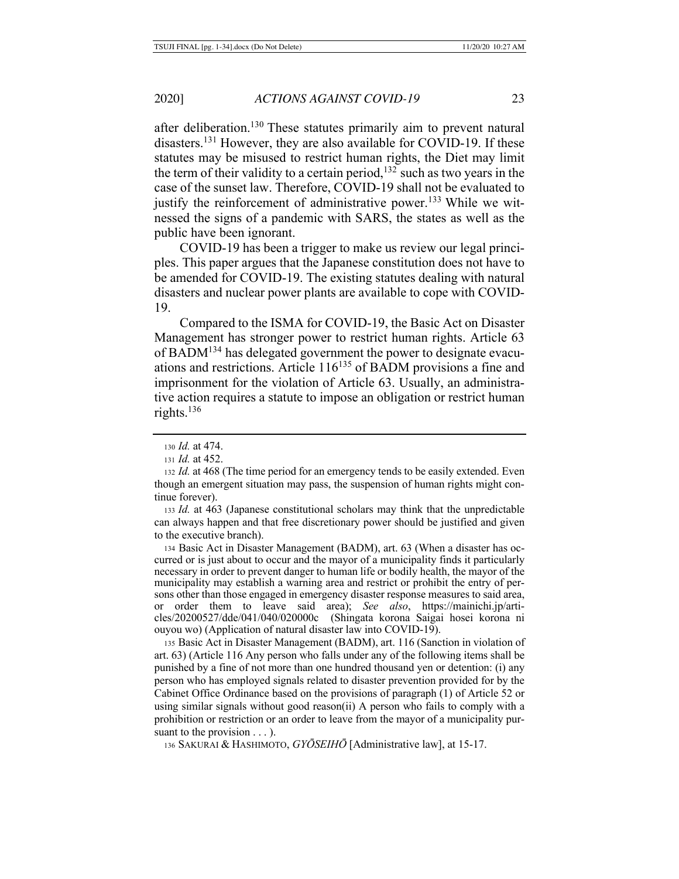after deliberation.<sup>130</sup> These statutes primarily aim to prevent natural disasters.131 However, they are also available for COVID-19. If these statutes may be misused to restrict human rights, the Diet may limit the term of their validity to a certain period,<sup>132</sup> such as two years in the case of the sunset law. Therefore, COVID-19 shall not be evaluated to justify the reinforcement of administrative power.<sup>133</sup> While we witnessed the signs of a pandemic with SARS, the states as well as the public have been ignorant.

COVID-19 has been a trigger to make us review our legal principles. This paper argues that the Japanese constitution does not have to be amended for COVID-19. The existing statutes dealing with natural disasters and nuclear power plants are available to cope with COVID-19.

Compared to the ISMA for COVID-19, the Basic Act on Disaster Management has stronger power to restrict human rights. Article 63 of BADM134 has delegated government the power to designate evacuations and restrictions. Article 116135 of BADM provisions a fine and imprisonment for the violation of Article 63. Usually, an administrative action requires a statute to impose an obligation or restrict human rights.136

<sup>132</sup> *Id.* at 468 (The time period for an emergency tends to be easily extended. Even though an emergent situation may pass, the suspension of human rights might continue forever).

<sup>133</sup> *Id.* at 463 (Japanese constitutional scholars may think that the unpredictable can always happen and that free discretionary power should be justified and given to the executive branch).

<sup>134</sup> Basic Act in Disaster Management (BADM), art. 63 (When a disaster has occurred or is just about to occur and the mayor of a municipality finds it particularly necessary in order to prevent danger to human life or bodily health, the mayor of the municipality may establish a warning area and restrict or prohibit the entry of persons other than those engaged in emergency disaster response measures to said area, or order them to leave said area); *See also*, https://mainichi.jp/articles/20200527/dde/041/040/020000c (Shingata korona Saigai hosei korona ni ouyou wo) (Application of natural disaster law into COVID-19).

<sup>135</sup> Basic Act in Disaster Management (BADM), art. 116 (Sanction in violation of art. 63) (Article 116 Any person who falls under any of the following items shall be punished by a fine of not more than one hundred thousand yen or detention: (i) any person who has employed signals related to disaster prevention provided for by the Cabinet Office Ordinance based on the provisions of paragraph (1) of Article 52 or using similar signals without good reason(ii) A person who fails to comply with a prohibition or restriction or an order to leave from the mayor of a municipality pursuant to the provision  $\dots$ ).

136 SAKURAI & HASHIMOTO, *GYŌSEIHŌ* [Administrative law], at 15-17.

<sup>130</sup> *Id.* at 474.

<sup>131</sup> *Id.* at 452.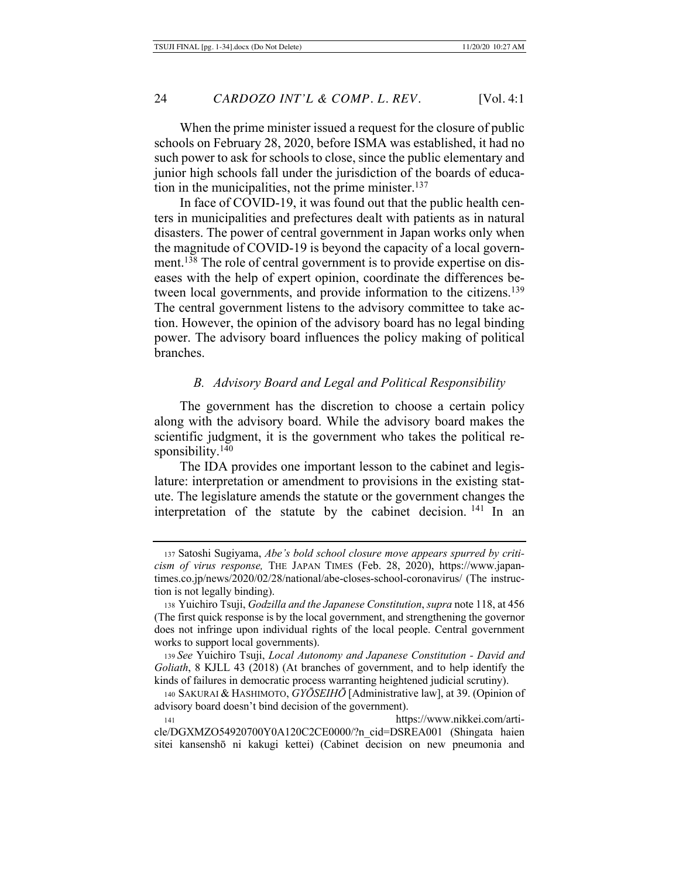When the prime minister issued a request for the closure of public schools on February 28, 2020, before ISMA was established, it had no such power to ask for schools to close, since the public elementary and junior high schools fall under the jurisdiction of the boards of education in the municipalities, not the prime minister.<sup>137</sup>

In face of COVID-19, it was found out that the public health centers in municipalities and prefectures dealt with patients as in natural disasters. The power of central government in Japan works only when the magnitude of COVID-19 is beyond the capacity of a local government.<sup>138</sup> The role of central government is to provide expertise on diseases with the help of expert opinion, coordinate the differences between local governments, and provide information to the citizens.<sup>139</sup> The central government listens to the advisory committee to take action. However, the opinion of the advisory board has no legal binding power. The advisory board influences the policy making of political branches.

# *B. Advisory Board and Legal and Political Responsibility*

The government has the discretion to choose a certain policy along with the advisory board. While the advisory board makes the scientific judgment, it is the government who takes the political responsibility.<sup>140</sup>

The IDA provides one important lesson to the cabinet and legislature: interpretation or amendment to provisions in the existing statute. The legislature amends the statute or the government changes the interpretation of the statute by the cabinet decision.<sup>141</sup> In an

<sup>139</sup> *See* Yuichiro Tsuji, *Local Autonomy and Japanese Constitution - David and Goliath*, 8 KJLL 43 (2018) (At branches of government, and to help identify the kinds of failures in democratic process warranting heightened judicial scrutiny).

<sup>141</sup> https://www.nikkei.com/article/DGXMZO54920700Y0A120C2CE0000/?n\_cid=DSREA001 (Shingata haien sitei kansenshō ni kakugi kettei) (Cabinet decision on new pneumonia and

<sup>137</sup> Satoshi Sugiyama, *Abe's bold school closure move appears spurred by criticism of virus response,* THE JAPAN TIMES (Feb. 28, 2020), https://www.japantimes.co.jp/news/2020/02/28/national/abe-closes-school-coronavirus/ (The instruction is not legally binding).

<sup>138</sup> Yuichiro Tsuji, *Godzilla and the Japanese Constitution*, *supra* note 118, at 456 (The first quick response is by the local government, and strengthening the governor does not infringe upon individual rights of the local people. Central government works to support local governments).

<sup>140</sup> SAKURAI & HASHIMOTO, *GYŌSEIHŌ* [Administrative law], at 39. (Opinion of advisory board doesn't bind decision of the government).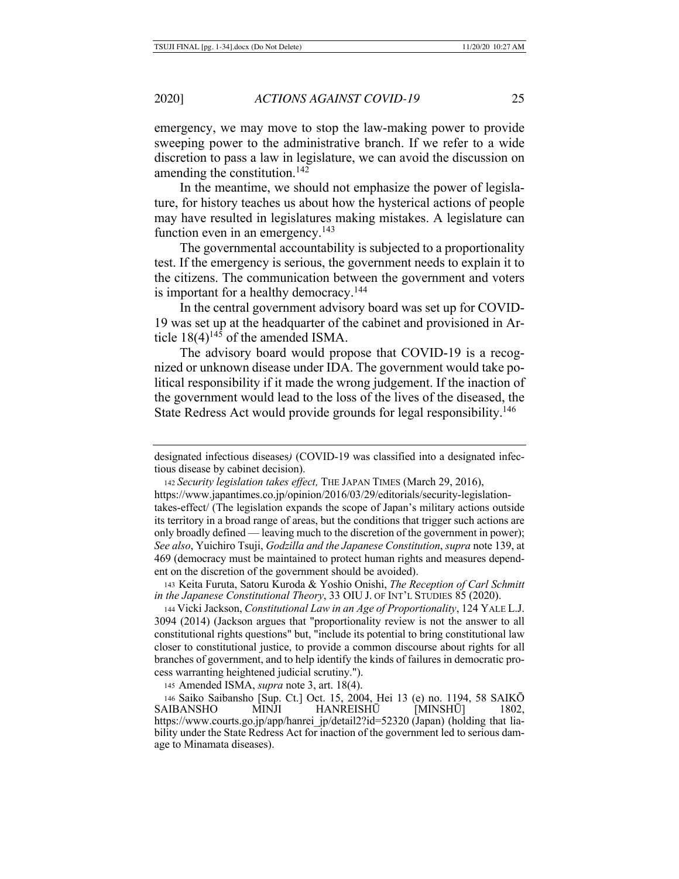emergency, we may move to stop the law-making power to provide sweeping power to the administrative branch. If we refer to a wide discretion to pass a law in legislature, we can avoid the discussion on amending the constitution.<sup>142</sup>

In the meantime, we should not emphasize the power of legislature, for history teaches us about how the hysterical actions of people may have resulted in legislatures making mistakes. A legislature can function even in an emergency.<sup>143</sup>

The governmental accountability is subjected to a proportionality test. If the emergency is serious, the government needs to explain it to the citizens. The communication between the government and voters is important for a healthy democracy.<sup>144</sup>

In the central government advisory board was set up for COVID-19 was set up at the headquarter of the cabinet and provisioned in Article  $18(4)^{145}$  of the amended ISMA.

The advisory board would propose that COVID-19 is a recognized or unknown disease under IDA. The government would take political responsibility if it made the wrong judgement. If the inaction of the government would lead to the loss of the lives of the diseased, the State Redress Act would provide grounds for legal responsibility.<sup>146</sup>

designated infectious diseases*)* (COVID-19 was classified into a designated infectious disease by cabinet decision).

<sup>142</sup> *Security legislation takes effect,* THE JAPAN TIMES (March 29, 2016), https://www.japantimes.co.jp/opinion/2016/03/29/editorials/security-legislationtakes-effect/ (The legislation expands the scope of Japan's military actions outside its territory in a broad range of areas, but the conditions that trigger such actions are only broadly defined — leaving much to the discretion of the government in power); *See also*, Yuichiro Tsuji, *Godzilla and the Japanese Constitution*, *supra* note 139, at 469 (democracy must be maintained to protect human rights and measures dependent on the discretion of the government should be avoided).

143 Keita Furuta, Satoru Kuroda & Yoshio Onishi, *The Reception of Carl Schmitt in the Japanese Constitutional Theory*, 33 OIU J. OF INT'L STUDIES 85 (2020).

<sup>144</sup> Vicki Jackson, *Constitutional Law in an Age of Proportionality*, 124 YALE L.J. 3094 (2014) (Jackson argues that "proportionality review is not the answer to all constitutional rights questions" but, "include its potential to bring constitutional law closer to constitutional justice, to provide a common discourse about rights for all branches of government, and to help identify the kinds of failures in democratic process warranting heightened judicial scrutiny.").

<sup>145</sup> Amended ISMA, *supra* note 3, art. 18(4).

<sup>146</sup> Saiko Saibansho [Sup. Ct.] Oct. 15, 2004, Hei 13 (e) no. 1194, 58 SAIKŌ SAIBANSHO MINJI HANREISHŪ [MINSHŪ] 1802, https://www.courts.go.jp/app/hanrei\_jp/detail2?id=52320 (Japan) (holding that liability under the State Redress Act for inaction of the government led to serious damage to Minamata diseases).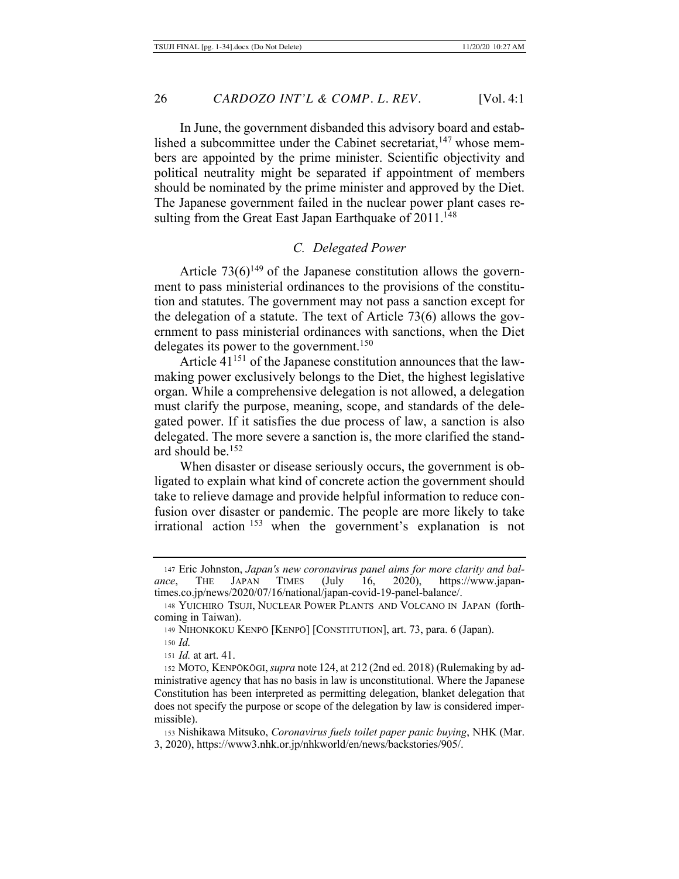In June, the government disbanded this advisory board and established a subcommittee under the Cabinet secretariat, $147$  whose members are appointed by the prime minister. Scientific objectivity and political neutrality might be separated if appointment of members should be nominated by the prime minister and approved by the Diet. The Japanese government failed in the nuclear power plant cases resulting from the Great East Japan Earthquake of  $2011$ .<sup>148</sup>

#### *C. Delegated Power*

Article  $73(6)^{149}$  of the Japanese constitution allows the government to pass ministerial ordinances to the provisions of the constitution and statutes. The government may not pass a sanction except for the delegation of a statute. The text of Article 73(6) allows the government to pass ministerial ordinances with sanctions, when the Diet delegates its power to the government.<sup>150</sup>

Article  $41^{151}$  of the Japanese constitution announces that the lawmaking power exclusively belongs to the Diet, the highest legislative organ. While a comprehensive delegation is not allowed, a delegation must clarify the purpose, meaning, scope, and standards of the delegated power. If it satisfies the due process of law, a sanction is also delegated. The more severe a sanction is, the more clarified the standard should be.152

When disaster or disease seriously occurs, the government is obligated to explain what kind of concrete action the government should take to relieve damage and provide helpful information to reduce confusion over disaster or pandemic. The people are more likely to take irrational action 153 when the government's explanation is not

<sup>153</sup> Nishikawa Mitsuko, *Coronavirus fuels toilet paper panic buying*, NHK (Mar. 3, 2020), https://www3.nhk.or.jp/nhkworld/en/news/backstories/905/.

<sup>147</sup> Eric Johnston, *Japan's new coronavirus panel aims for more clarity and balance*, THE JAPAN TIMES (July 16, 2020), https://www.japantimes.co.jp/news/2020/07/16/national/japan-covid-19-panel-balance/.

<sup>148</sup> YUICHIRO TSUJI, NUCLEAR POWER PLANTS AND VOLCANO IN JAPAN (forthcoming in Taiwan).

<sup>149</sup> NIHONKOKU KENPŌ [KENPŌ] [CONSTITUTION], art. 73, para. 6 (Japan).

<sup>150</sup> *Id.*

<sup>151</sup> *Id.* at art. 41.

<sup>152</sup> MOTO, KENPŌKŌGI,*supra* note 124, at 212 (2nd ed. 2018) (Rulemaking by administrative agency that has no basis in law is unconstitutional. Where the Japanese Constitution has been interpreted as permitting delegation, blanket delegation that does not specify the purpose or scope of the delegation by law is considered impermissible).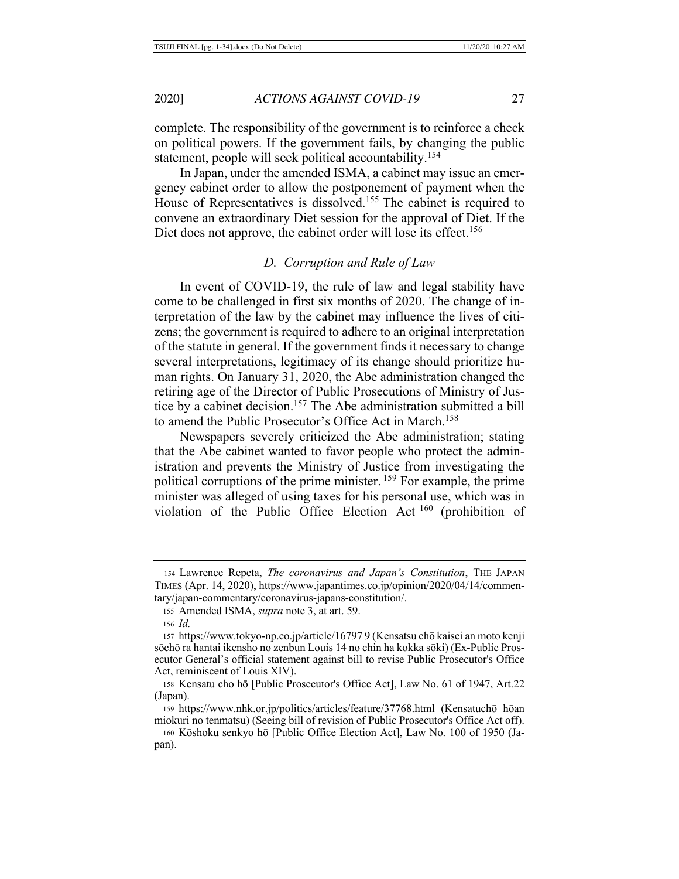complete. The responsibility of the government is to reinforce a check on political powers. If the government fails, by changing the public statement, people will seek political accountability.154

In Japan, under the amended ISMA, a cabinet may issue an emergency cabinet order to allow the postponement of payment when the House of Representatives is dissolved.<sup>155</sup> The cabinet is required to convene an extraordinary Diet session for the approval of Diet. If the Diet does not approve, the cabinet order will lose its effect.<sup>156</sup>

#### *D. Corruption and Rule of Law*

In event of COVID-19, the rule of law and legal stability have come to be challenged in first six months of 2020. The change of interpretation of the law by the cabinet may influence the lives of citizens; the government is required to adhere to an original interpretation of the statute in general. If the government finds it necessary to change several interpretations, legitimacy of its change should prioritize human rights. On January 31, 2020, the Abe administration changed the retiring age of the Director of Public Prosecutions of Ministry of Justice by a cabinet decision.157 The Abe administration submitted a bill to amend the Public Prosecutor's Office Act in March.<sup>158</sup>

Newspapers severely criticized the Abe administration; stating that the Abe cabinet wanted to favor people who protect the administration and prevents the Ministry of Justice from investigating the political corruptions of the prime minister. 159 For example, the prime minister was alleged of using taxes for his personal use, which was in violation of the Public Office Election Act 160 (prohibition of

<sup>154</sup> Lawrence Repeta, *The coronavirus and Japan's Constitution*, THE JAPAN TIMES (Apr. 14, 2020), https://www.japantimes.co.jp/opinion/2020/04/14/commentary/japan-commentary/coronavirus-japans-constitution/.

<sup>155</sup> Amended ISMA, *supra* note 3, at art. 59.

<sup>156</sup> *Id.*

<sup>157</sup> https://www.tokyo-np.co.jp/article/16797 9 (Kensatsu chō kaisei an moto kenji sōchō ra hantai ikensho no zenbun Louis 14 no chin ha kokka sōki) (Ex-Public Prosecutor General's official statement against bill to revise Public Prosecutor's Office Act, reminiscent of Louis XIV).

<sup>158</sup> Kensatu cho hō [Public Prosecutor's Office Act], Law No. 61 of 1947, Art.22 (Japan).

<sup>159</sup> https://www.nhk.or.jp/politics/articles/feature/37768.html (Kensatuchō hōan miokuri no tenmatsu) (Seeing bill of revision of Public Prosecutor's Office Act off).

<sup>160</sup> Kōshoku senkyo hō [Public Office Election Act], Law No. 100 of 1950 (Japan).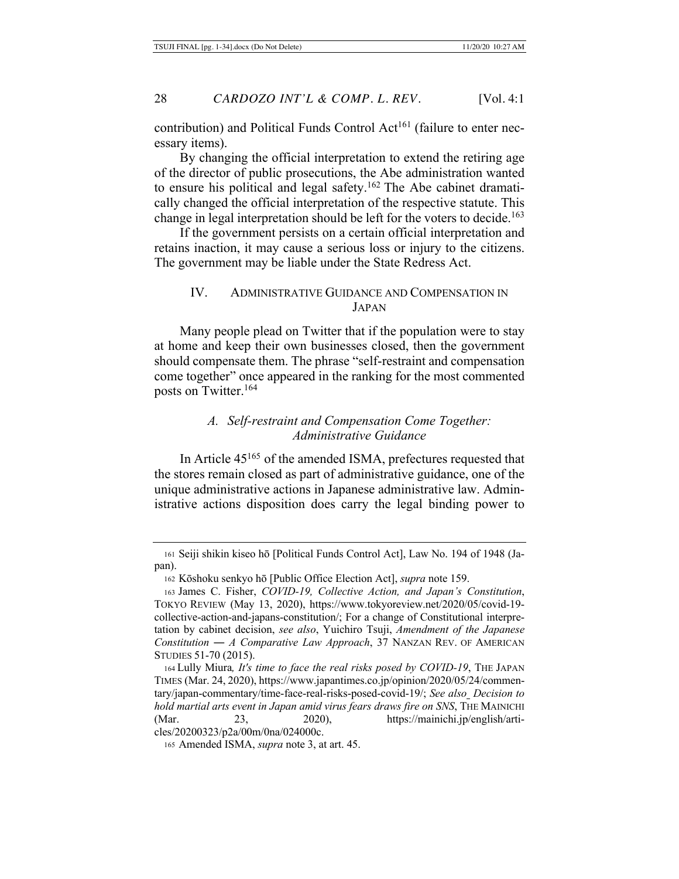contribution) and Political Funds Control Act<sup>161</sup> (failure to enter necessary items).

By changing the official interpretation to extend the retiring age of the director of public prosecutions, the Abe administration wanted to ensure his political and legal safety.<sup>162</sup> The Abe cabinet dramatically changed the official interpretation of the respective statute. This change in legal interpretation should be left for the voters to decide.<sup>163</sup>

If the government persists on a certain official interpretation and retains inaction, it may cause a serious loss or injury to the citizens. The government may be liable under the State Redress Act.

### IV. ADMINISTRATIVE GUIDANCE AND COMPENSATION IN JAPAN

Many people plead on Twitter that if the population were to stay at home and keep their own businesses closed, then the government should compensate them. The phrase "self-restraint and compensation come together" once appeared in the ranking for the most commented posts on Twitter.<sup>164</sup>

# *A. Self-restraint and Compensation Come Together: Administrative Guidance*

In Article 45165 of the amended ISMA, prefectures requested that the stores remain closed as part of administrative guidance, one of the unique administrative actions in Japanese administrative law. Administrative actions disposition does carry the legal binding power to

<sup>161</sup> Seiji shikin kiseo hō [Political Funds Control Act], Law No. 194 of 1948 (Japan).

<sup>162</sup> Kōshoku senkyo hō [Public Office Election Act], *supra* note 159.

<sup>163</sup> James C. Fisher, *COVID-19, Collective Action, and Japan's Constitution*, TOKYO REVIEW (May 13, 2020), https://www.tokyoreview.net/2020/05/covid-19 collective-action-and-japans-constitution/; For a change of Constitutional interpretation by cabinet decision, *see also*, Yuichiro Tsuji, *Amendment of the Japanese Constitution ― A Comparative Law Approach*, 37 NANZAN REV. OF AMERICAN STUDIES 51-70 (2015).

<sup>164</sup> Lully Miura*, It's time to face the real risks posed by COVID-19*, THE JAPAN TIMES (Mar. 24, 2020), https://www.japantimes.co.jp/opinion/2020/05/24/commentary/japan-commentary/time-face-real-risks-posed-covid-19/; *See also Decision to hold martial arts event in Japan amid virus fears draws fire on SNS*, THE MAINICHI (Mar. 23, 2020), https://mainichi.jp/english/articles/20200323/p2a/00m/0na/024000c.

<sup>165</sup> Amended ISMA, *supra* note 3, at art. 45.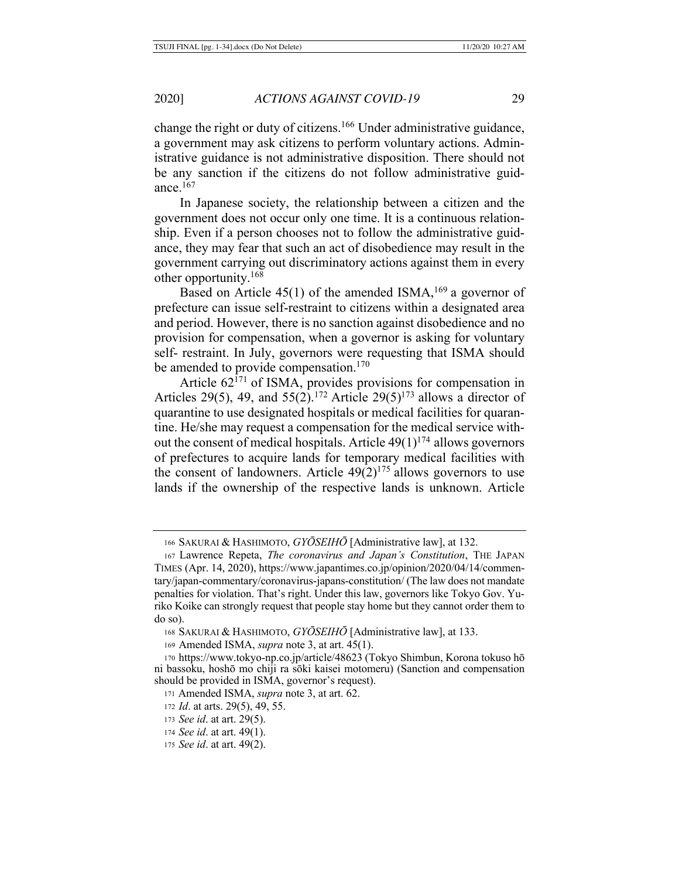change the right or duty of citizens.166 Under administrative guidance, a government may ask citizens to perform voluntary actions. Administrative guidance is not administrative disposition. There should not be any sanction if the citizens do not follow administrative guidance.<sup>167</sup>

In Japanese society, the relationship between a citizen and the government does not occur only one time. It is a continuous relationship. Even if a person chooses not to follow the administrative guidance, they may fear that such an act of disobedience may result in the government carrying out discriminatory actions against them in every other opportunity.168

Based on Article  $45(1)$  of the amended ISMA,<sup>169</sup> a governor of prefecture can issue self-restraint to citizens within a designated area and period. However, there is no sanction against disobedience and no provision for compensation, when a governor is asking for voluntary self- restraint. In July, governors were requesting that ISMA should be amended to provide compensation.<sup>170</sup>

Article  $62^{7}$ <sup>171</sup> of ISMA, provides provisions for compensation in Articles 29(5), 49, and 55(2).<sup>172</sup> Article 29(5)<sup>173</sup> allows a director of quarantine to use designated hospitals or medical facilities for quarantine. He/she may request a compensation for the medical service without the consent of medical hospitals. Article  $49(1)^{174}$  allows governors of prefectures to acquire lands for temporary medical facilities with the consent of landowners. Article  $49(2)^{175}$  allows governors to use lands if the ownership of the respective lands is unknown. Article

<sup>166</sup> SAKURAI & HASHIMOTO, *GYŌSEIHŌ* [Administrative law], at 132.

<sup>167</sup> Lawrence Repeta, *The coronavirus and Japan's Constitution*, THE JAPAN TIMES (Apr. 14, 2020), https://www.japantimes.co.jp/opinion/2020/04/14/commentary/japan-commentary/coronavirus-japans-constitution/ (The law does not mandate penalties for violation. That's right. Under this law, governors like Tokyo Gov. Yuriko Koike can strongly request that people stay home but they cannot order them to do so).

<sup>168</sup> SAKURAI & HASHIMOTO, *GYŌSEIHŌ* [Administrative law], at 133.

<sup>169</sup> Amended ISMA, *supra* note 3, at art. 45(1).

<sup>170</sup> https://www.tokyo-np.co.jp/article/48623 (Tokyo Shimbun, Korona tokuso hō ni bassoku, hoshō mo chiji ra sōki kaisei motomeru) (Sanction and compensation should be provided in ISMA, governor's request).

<sup>171</sup> Amended ISMA, *supra* note 3, at art. 62.

<sup>172</sup> *Id*. at arts. 29(5), 49, 55.

<sup>173</sup> *See id*. at art. 29(5).

<sup>174</sup> *See id*. at art. 49(1).

<sup>175</sup> *See id*. at art. 49(2).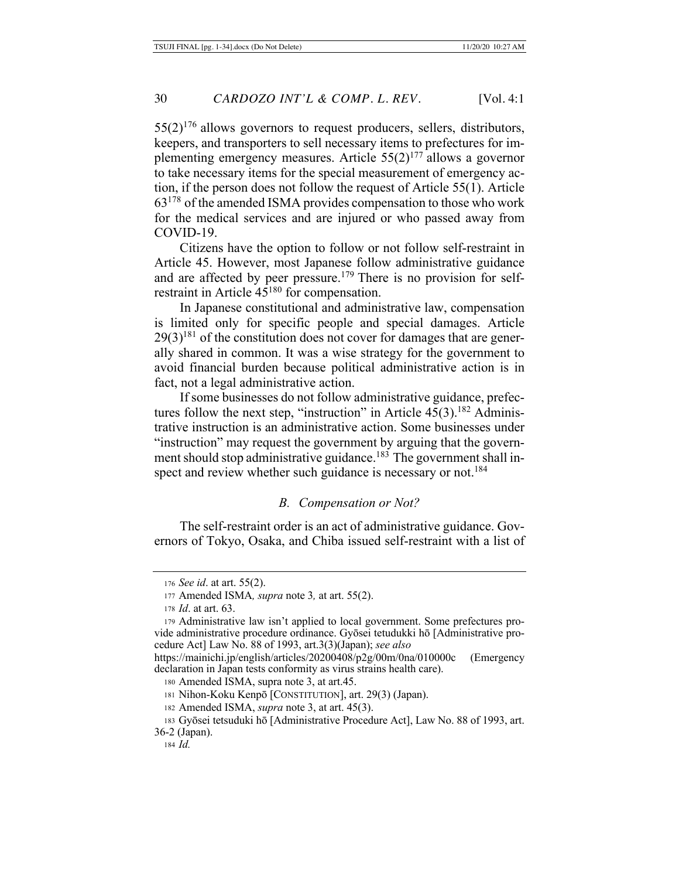$55(2)^{176}$  allows governors to request producers, sellers, distributors, keepers, and transporters to sell necessary items to prefectures for implementing emergency measures. Article  $55(2)^{177}$  allows a governor to take necessary items for the special measurement of emergency action, if the person does not follow the request of Article 55(1). Article 63178 of the amended ISMA provides compensation to those who work for the medical services and are injured or who passed away from COVID-19.

Citizens have the option to follow or not follow self-restraint in Article 45. However, most Japanese follow administrative guidance and are affected by peer pressure.<sup>179</sup> There is no provision for selfrestraint in Article  $45^{180}$  for compensation.

In Japanese constitutional and administrative law, compensation is limited only for specific people and special damages. Article  $29(3)^{181}$  of the constitution does not cover for damages that are generally shared in common. It was a wise strategy for the government to avoid financial burden because political administrative action is in fact, not a legal administrative action.

If some businesses do not follow administrative guidance, prefectures follow the next step, "instruction" in Article  $45(3)$ .<sup>182</sup> Administrative instruction is an administrative action. Some businesses under "instruction" may request the government by arguing that the government should stop administrative guidance.<sup>183</sup> The government shall inspect and review whether such guidance is necessary or not.<sup>184</sup>

# *B. Compensation or Not?*

The self-restraint order is an act of administrative guidance. Governors of Tokyo, Osaka, and Chiba issued self-restraint with a list of

<sup>176</sup> *See id*. at art. 55(2).

<sup>177</sup> Amended ISMA*, supra* note 3*,* at art. 55(2).

<sup>178</sup> *Id*. at art. 63.

<sup>179</sup> Administrative law isn't applied to local government. Some prefectures provide administrative procedure ordinance. Gyōsei tetudukki hō [Administrative procedure Act] Law No. 88 of 1993, art.3(3)(Japan); *see also* 

https://mainichi.jp/english/articles/20200408/p2g/00m/0na/010000c (Emergency declaration in Japan tests conformity as virus strains health care).

<sup>180</sup> Amended ISMA, supra note 3, at art.45.

<sup>181</sup> Nihon-Koku Kenpō [CONSTITUTION], art. 29(3) (Japan).

<sup>182</sup> Amended ISMA, *supra* note 3, at art. 45(3).

<sup>183</sup> Gyōsei tetsuduki hō [Administrative Procedure Act], Law No. 88 of 1993, art. 36-2 (Japan).

<sup>184</sup> *Id.*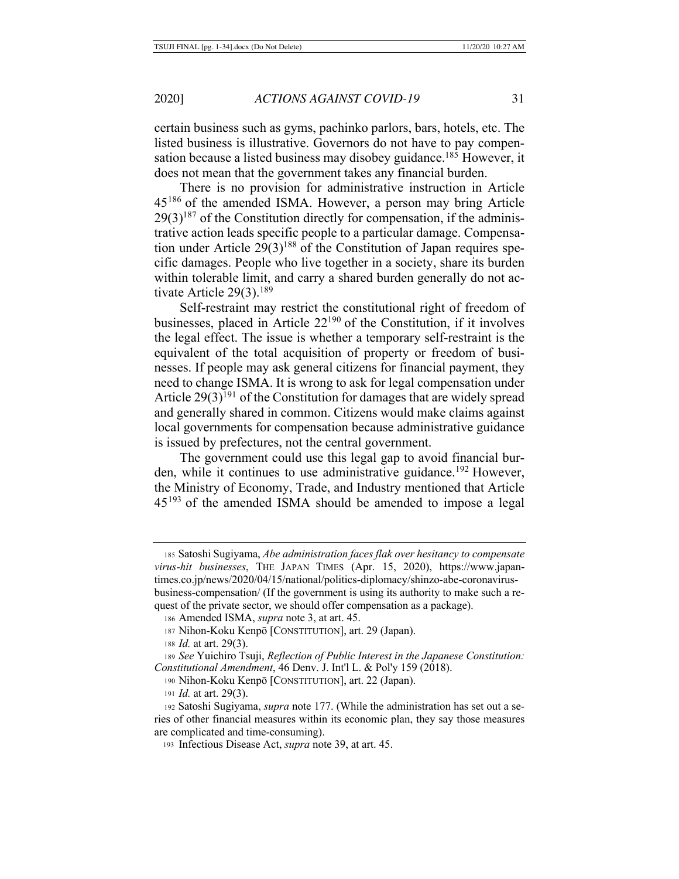certain business such as gyms, pachinko parlors, bars, hotels, etc. The listed business is illustrative. Governors do not have to pay compensation because a listed business may disobey guidance.<sup>185</sup> However, it does not mean that the government takes any financial burden.

There is no provision for administrative instruction in Article 45186 of the amended ISMA. However, a person may bring Article  $29(3)^{187}$  of the Constitution directly for compensation, if the administrative action leads specific people to a particular damage. Compensation under Article  $29(3)^{188}$  of the Constitution of Japan requires specific damages. People who live together in a society, share its burden within tolerable limit, and carry a shared burden generally do not activate Article 29(3).<sup>189</sup>

Self-restraint may restrict the constitutional right of freedom of businesses, placed in Article 22190 of the Constitution, if it involves the legal effect. The issue is whether a temporary self-restraint is the equivalent of the total acquisition of property or freedom of businesses. If people may ask general citizens for financial payment, they need to change ISMA. It is wrong to ask for legal compensation under Article  $29(3)^{191}$  of the Constitution for damages that are widely spread and generally shared in common. Citizens would make claims against local governments for compensation because administrative guidance is issued by prefectures, not the central government.

The government could use this legal gap to avoid financial burden, while it continues to use administrative guidance.<sup>192</sup> However, the Ministry of Economy, Trade, and Industry mentioned that Article 45<sup>193</sup> of the amended ISMA should be amended to impose a legal

<sup>185</sup> Satoshi Sugiyama, *Abe administration faces flak over hesitancy to compensate virus-hit businesses*, THE JAPAN TIMES (Apr. 15, 2020), https://www.japantimes.co.jp/news/2020/04/15/national/politics-diplomacy/shinzo-abe-coronavirusbusiness-compensation/ (If the government is using its authority to make such a request of the private sector, we should offer compensation as a package).

<sup>186</sup> Amended ISMA, *supra* note 3, at art. 45.

<sup>187</sup> Nihon-Koku Kenpō [CONSTITUTION], art. 29 (Japan).

<sup>188</sup> *Id.* at art. 29(3).

<sup>189</sup> *See* Yuichiro Tsuji, *Reflection of Public Interest in the Japanese Constitution: Constitutional Amendment*, 46 Denv. J. Int'l L. & Pol'y 159 (2018).

<sup>190</sup> Nihon-Koku Kenpō [CONSTITUTION], art. 22 (Japan).

<sup>191</sup> *Id.* at art. 29(3).

<sup>192</sup> Satoshi Sugiyama, *supra* note 177. (While the administration has set out a series of other financial measures within its economic plan, they say those measures are complicated and time-consuming).

<sup>193</sup> Infectious Disease Act, *supra* note 39, at art. 45.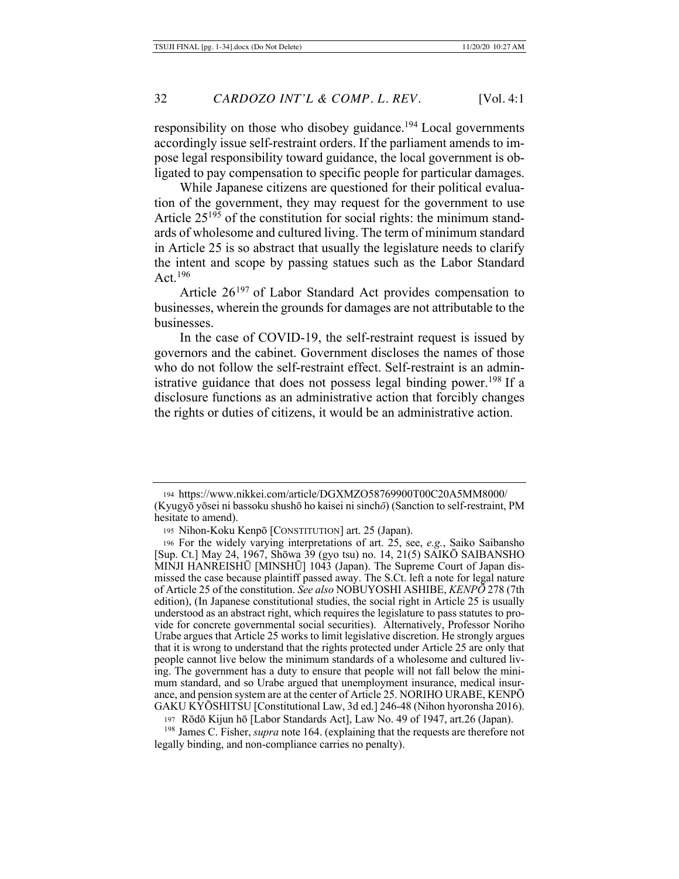responsibility on those who disobey guidance.<sup>194</sup> Local governments accordingly issue self-restraint orders. If the parliament amends to impose legal responsibility toward guidance, the local government is obligated to pay compensation to specific people for particular damages.

While Japanese citizens are questioned for their political evaluation of the government, they may request for the government to use Article  $25^{195}$  of the constitution for social rights: the minimum standards of wholesome and cultured living. The term of minimum standard in Article 25 is so abstract that usually the legislature needs to clarify the intent and scope by passing statues such as the Labor Standard Act.196

Article 26<sup>197</sup> of Labor Standard Act provides compensation to businesses, wherein the grounds for damages are not attributable to the businesses.

In the case of COVID-19, the self-restraint request is issued by governors and the cabinet. Government discloses the names of those who do not follow the self-restraint effect. Self-restraint is an administrative guidance that does not possess legal binding power.<sup>198</sup> If a disclosure functions as an administrative action that forcibly changes the rights or duties of citizens, it would be an administrative action.

197 Rōdō Kijun hō [Labor Standards Act], Law No. 49 of 1947, art.26 (Japan).

<sup>198</sup> James C. Fisher, *supra* note 164. (explaining that the requests are therefore not legally binding, and non-compliance carries no penalty).

<sup>194</sup> https://www.nikkei.com/article/DGXMZO58769900T00C20A5MM8000/ (Kyugyō yōsei ni bassoku shushō ho kaisei ni sinch*ō*) (Sanction to self-restraint, PM hesitate to amend).

<sup>195</sup> Nihon-Koku Kenpō [CONSTITUTION] art. 25 (Japan).

<sup>196</sup> For the widely varying interpretations of art. 25, see, *e.g.*, Saiko Saibansho [Sup. Ct.] May 24, 1967, Shōwa 39 (gyo tsu) no. 14, 21(5) SAIKŌ SAIBANSHO MINJI HANREISHŪ [MINSHŪ] 1043 (Japan). The Supreme Court of Japan dismissed the case because plaintiff passed away. The S.Ct. left a note for legal nature of Article 25 of the constitution. *See also* NOBUYOSHI ASHIBE, *KENPŌ* 278 (7th edition), (In Japanese constitutional studies, the social right in Article 25 is usually understood as an abstract right, which requires the legislature to pass statutes to provide for concrete governmental social securities). Alternatively, Professor Noriho Urabe argues that Article 25 works to limit legislative discretion. He strongly argues that it is wrong to understand that the rights protected under Article 25 are only that people cannot live below the minimum standards of a wholesome and cultured living. The government has a duty to ensure that people will not fall below the minimum standard, and so Urabe argued that unemployment insurance, medical insurance, and pension system are at the center of Article 25. NORIHO URABE, KENPŌ GAKU KYŌSHITSU [Constitutional Law, 3d ed.] 246-48 (Nihon hyoronsha 2016).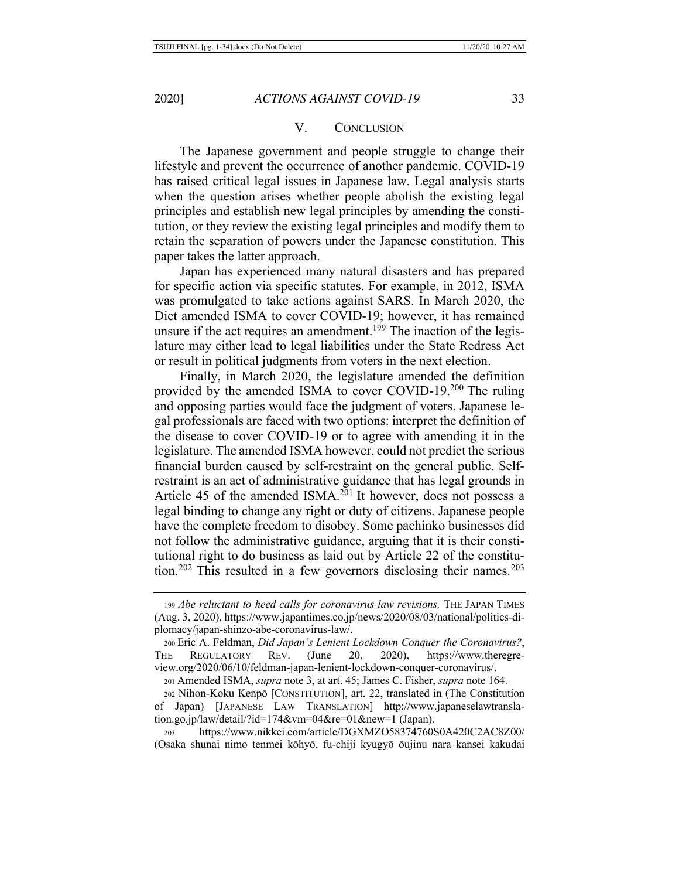#### V. CONCLUSION

The Japanese government and people struggle to change their lifestyle and prevent the occurrence of another pandemic. COVID-19 has raised critical legal issues in Japanese law. Legal analysis starts when the question arises whether people abolish the existing legal principles and establish new legal principles by amending the constitution, or they review the existing legal principles and modify them to retain the separation of powers under the Japanese constitution. This paper takes the latter approach.

Japan has experienced many natural disasters and has prepared for specific action via specific statutes. For example, in 2012, ISMA was promulgated to take actions against SARS. In March 2020, the Diet amended ISMA to cover COVID-19; however, it has remained unsure if the act requires an amendment.<sup>199</sup> The inaction of the legislature may either lead to legal liabilities under the State Redress Act or result in political judgments from voters in the next election.

Finally, in March 2020, the legislature amended the definition provided by the amended ISMA to cover COVID-19.200 The ruling and opposing parties would face the judgment of voters. Japanese legal professionals are faced with two options: interpret the definition of the disease to cover COVID-19 or to agree with amending it in the legislature. The amended ISMA however, could not predict the serious financial burden caused by self-restraint on the general public. Selfrestraint is an act of administrative guidance that has legal grounds in Article 45 of the amended ISMA.<sup>201</sup> It however, does not possess a legal binding to change any right or duty of citizens. Japanese people have the complete freedom to disobey. Some pachinko businesses did not follow the administrative guidance, arguing that it is their constitutional right to do business as laid out by Article 22 of the constitution.<sup>202</sup> This resulted in a few governors disclosing their names.<sup>203</sup>

<sup>201</sup> Amended ISMA, *supra* note 3, at art. 45; James C. Fisher, *supra* note 164.

<sup>203</sup> https://www.nikkei.com/article/DGXMZO58374760S0A420C2AC8Z00/ (Osaka shunai nimo tenmei kōhyō, fu-chiji kyugyō ōujinu nara kansei kakudai

<sup>199</sup> *Abe reluctant to heed calls for coronavirus law revisions,* THE JAPAN TIMES (Aug. 3, 2020), https://www.japantimes.co.jp/news/2020/08/03/national/politics-diplomacy/japan-shinzo-abe-coronavirus-law/.

<sup>200</sup> Eric A. Feldman, *Did Japan's Lenient Lockdown Conquer the Coronavirus?*, THE REGULATORY REV. (June 20, 2020), https://www.theregreview.org/2020/06/10/feldman-japan-lenient-lockdown-conquer-coronavirus/.

<sup>202</sup> Nihon-Koku Kenpō [CONSTITUTION], art. 22, translated in (The Constitution of Japan) [JAPANESE LAW TRANSLATION] http://www.japaneselawtranslation.go.jp/law/detail/?id=174&vm=04&re=01&new=1 (Japan).